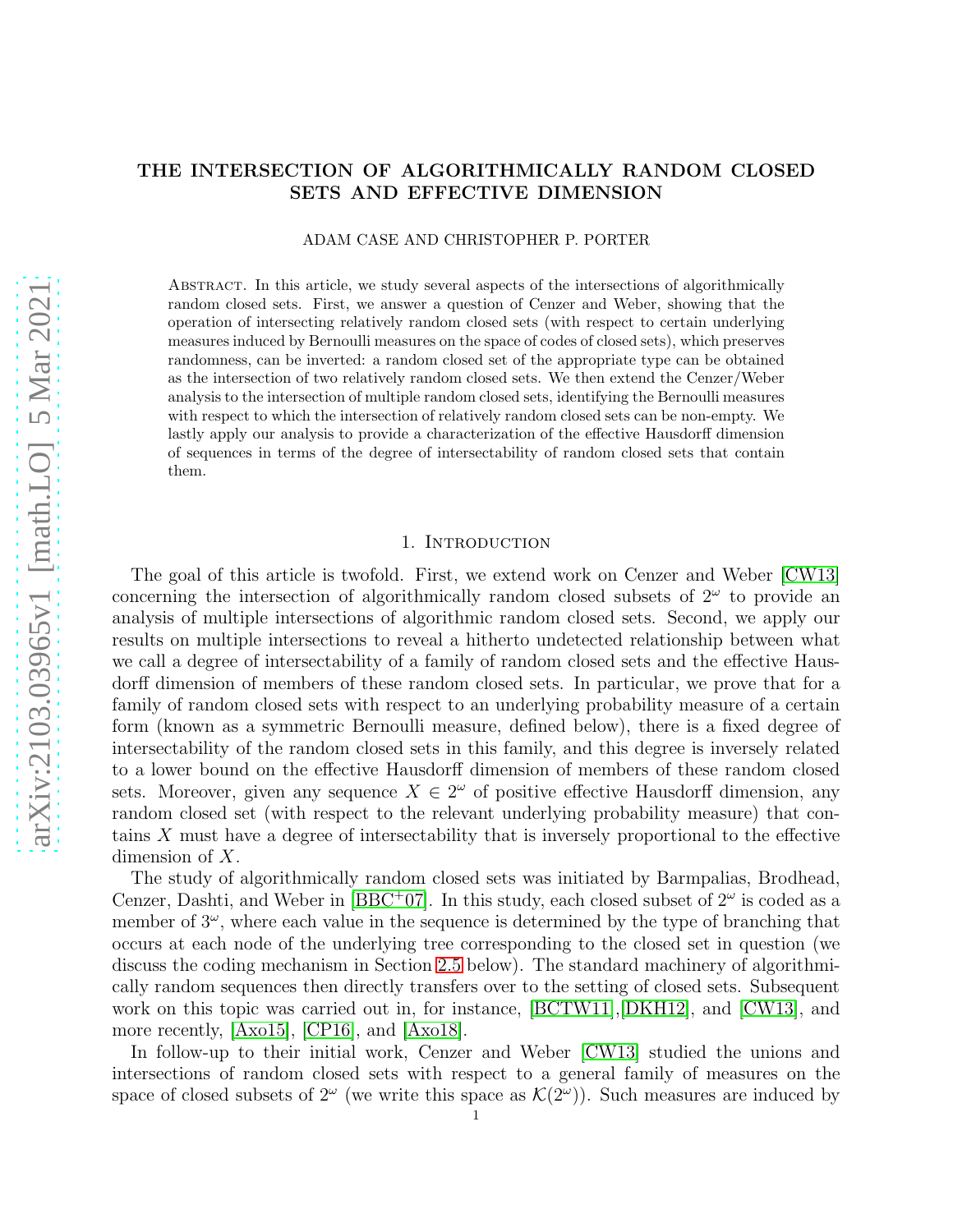# THE INTERSECTION OF ALGORITHMICALLY RANDOM CLOSED SETS AND EFFECTIVE DIMENSION

### ADAM CASE AND CHRISTOPHER P. PORTER

Abstract. In this article, we study several aspects of the intersections of algorithmically random closed sets. First, we answer a question of Cenzer and Weber, showing that the operation of intersecting relatively random closed sets (with respect to certain underlying measures induced by Bernoulli measures on the space of codes of closed sets), which preserves randomness, can be inverted: a random closed set of the appropriate type can be obtained as the intersection of two relatively random closed sets. We then extend the Cenzer/Weber analysis to the intersection of multiple random closed sets, identifying the Bernoulli measures with respect to which the intersection of relatively random closed sets can be non-empty. We lastly apply our analysis to provide a characterization of the effective Hausdorff dimension of sequences in terms of the degree of intersectability of random closed sets that contain them.

# 1. INTRODUCTION

<span id="page-0-0"></span>The goal of this article is twofold. First, we extend work on Cenzer and Weber [\[CW13\]](#page-18-0) concerning the intersection of algorithmically random closed subsets of  $2^{\omega}$  to provide an analysis of multiple intersections of algorithmic random closed sets. Second, we apply our results on multiple intersections to reveal a hitherto undetected relationship between what we call a degree of intersectability of a family of random closed sets and the effective Hausdorff dimension of members of these random closed sets. In particular, we prove that for a family of random closed sets with respect to an underlying probability measure of a certain form (known as a symmetric Bernoulli measure, defined below), there is a fixed degree of intersectability of the random closed sets in this family, and this degree is inversely related to a lower bound on the effective Hausdorff dimension of members of these random closed sets. Moreover, given any sequence  $X \in 2^{\omega}$  of positive effective Hausdorff dimension, any random closed set (with respect to the relevant underlying probability measure) that contains X must have a degree of intersectability that is inversely proportional to the effective dimension of X.

The study of algorithmically random closed sets was initiated by Barmpalias, Brodhead, Cenzer, Dashti, and Weber in [\[BBC](#page-18-1)<sup>+</sup>07]. In this study, each closed subset of  $2^{\omega}$  is coded as a member of  $3^{\omega}$ , where each value in the sequence is determined by the type of branching that occurs at each node of the underlying tree corresponding to the closed set in question (we discuss the coding mechanism in Section [2.5](#page-5-0) below). The standard machinery of algorithmically random sequences then directly transfers over to the setting of closed sets. Subsequent work on this topic was carried out in, for instance, [\[BCTW11\]](#page-18-2),[\[DKH12\]](#page-18-3), and [\[CW13\]](#page-18-0), and more recently, [\[Axo15\]](#page-18-4), [\[CP16\]](#page-18-5), and [\[Axo18\]](#page-18-6).

In follow-up to their initial work, Cenzer and Weber [\[CW13\]](#page-18-0) studied the unions and intersections of random closed sets with respect to a general family of measures on the space of closed subsets of  $2^{\omega}$  (we write this space as  $\mathcal{K}(2^{\omega})$ ). Such measures are induced by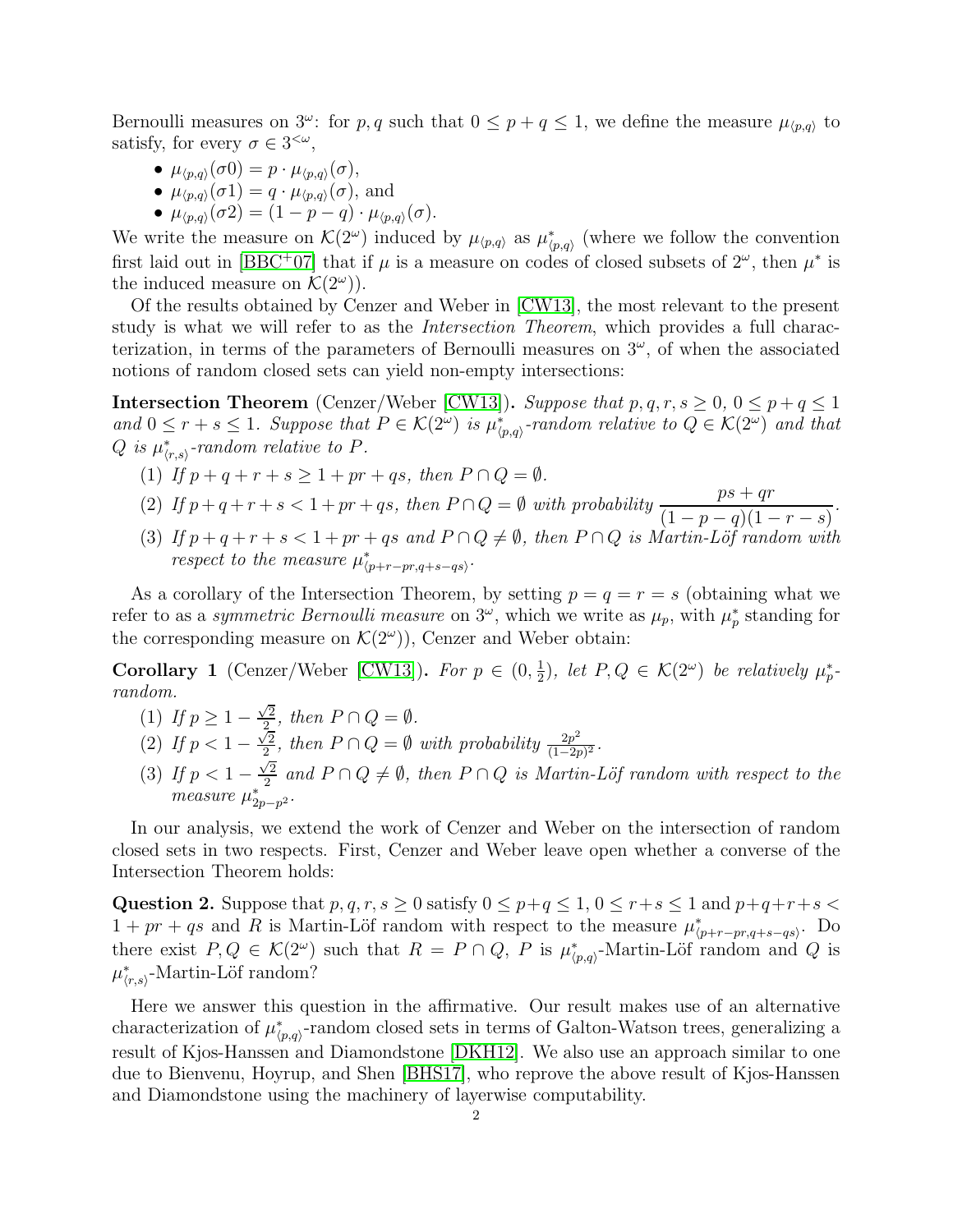Bernoulli measures on  $3^{\omega}$ : for p, q such that  $0 \leq p + q \leq 1$ , we define the measure  $\mu_{\langle p,q \rangle}$  to satisfy, for every  $\sigma \in 3^{<\omega}$ ,

- $\mu_{\langle p,q\rangle}(\sigma 0) = p \cdot \mu_{\langle p,q\rangle}(\sigma),$
- $\mu_{\langle p,q\rangle}(\sigma_1) = q \cdot \mu_{\langle p,q\rangle}(\sigma)$ , and
- $\mu_{\langle p,q \rangle}(\sigma 2) = (1 p q) \cdot \mu_{\langle p,q \rangle}(\sigma)$ .

We write the measure on  $\mathcal{K}(2^{\omega})$  induced by  $\mu_{\langle p,q\rangle}$  as  $\mu_{\langle p,q\rangle}^*$  (where we follow the convention first laid out in [\[BBC](#page-18-1)<sup>+</sup>07] that if  $\mu$  is a measure on codes of closed subsets of  $2^{\omega}$ , then  $\mu^*$  is the induced measure on  $\mathcal{K}(2^{\omega})$ .

Of the results obtained by Cenzer and Weber in [\[CW13\]](#page-18-0), the most relevant to the present study is what we will refer to as the *Intersection Theorem*, which provides a full characterization, in terms of the parameters of Bernoulli measures on  $3^\omega$ , of when the associated notions of random closed sets can yield non-empty intersections:

**Intersection Theorem** (Cenzer/Weber [\[CW13\]](#page-18-0)). *Suppose that*  $p, q, r, s \geq 0, 0 \leq p + q \leq 1$  $and$   $0 \leq r + s \leq 1$ *. Suppose that*  $P \in \mathcal{K}(2^{\omega})$  *is*  $\mu_{\langle p,q \rangle}^{*}$ -random relative to  $Q \in \mathcal{K}(2^{\omega})$  and that  $Q$  is  $\mu^*_{\langle r,s\rangle}$ -random relative to  $P$ .

- (1) If  $p + q + r + s \geq 1 + pr + qs$ , then  $P \cap Q = \emptyset$ .
- (2) If  $p+q+r+s < 1+pr+qs$ , then  $P \cap Q = \emptyset$  with probability  $\frac{ps+qr}{(1-p-q)(1-p)}$
- $(1-p-q)(1-r-s)$ (3) If  $p + q + r + s < 1 + pr + qs$  and  $P \cap Q \neq \emptyset$ , then  $P \cap Q$  is Martin-Löf random with *respect to the measure*  $\mu^*_{\langle p+r-pr,q+s-qs\rangle}$ *.*

*.*

As a corollary of the Intersection Theorem, by setting  $p = q = r = s$  (obtaining what we refer to as a *symmetric Bernoulli measure* on  $3^{\omega}$ , which we write as  $\mu_p$ , with  $\mu_p^*$  standing for the corresponding measure on  $\mathcal{K}(2^{\omega})$ ), Cenzer and Weber obtain:

<span id="page-1-0"></span>**Corollary 1** (Cenzer/Weber [\[CW13\]](#page-18-0)). For  $p \in (0, \frac{1}{2})$  $\frac{1}{2}$ , let  $P, Q \in \mathcal{K}(2^{\omega})$  be relatively  $\mu_p^*$ *random.*

- (1) *If*  $p \geq 1 \frac{\sqrt{2}}{2}$  $\frac{\sqrt{2}}{2}$ , then  $P \cap Q = \emptyset$ .
- (2) If  $p < 1 \frac{\sqrt{2}}{2}$  $\sqrt{\frac{2}{2}}$ , then  $P \cap Q = \emptyset$  with probability  $\frac{2p^2}{(1-2p)}$  $\frac{2p^2}{(1-2p)^2}$ .
- (3) If  $p < 1 \frac{\sqrt{2}}{2}$  $\frac{2}{2}$  and  $P \cap Q \neq \emptyset$ , then  $P \cap Q$  is Martin-Löf random with respect to the *measure*  $\mu_{2p-p^2}^*$ .

In our analysis, we extend the work of Cenzer and Weber on the intersection of random closed sets in two respects. First, Cenzer and Weber leave open whether a converse of the Intersection Theorem holds:

<span id="page-1-1"></span>Question 2. Suppose that  $p, q, r, s \geq 0$  satisfy  $0 \leq p+q \leq 1, 0 \leq r+s \leq 1$  and  $p+q+r+s <$  $1 + pr + qs$  and R is Martin-Löf random with respect to the measure  $\mu_{(p+r-pr,q+s-qs)}^*$ . Do there exist  $P, Q \in \mathcal{K}(2^{\omega})$  such that  $R = P \cap Q$ , P is  $\mu_{\langle p,q \rangle}^*$ -Martin-Löf random and Q is  $\mu^*_{\langle r,s\rangle}$ -Martin-Löf random?

Here we answer this question in the affirmative. Our result makes use of an alternative characterization of  $\mu^*_{\langle p,q\rangle}$ -random closed sets in terms of Galton-Watson trees, generalizing a result of Kjos-Hanssen and Diamondstone [\[DKH12\]](#page-18-3). We also use an approach similar to one due to Bienvenu, Hoyrup, and Shen [\[BHS17\]](#page-18-7), who reprove the above result of Kjos-Hanssen and Diamondstone using the machinery of layerwise computability.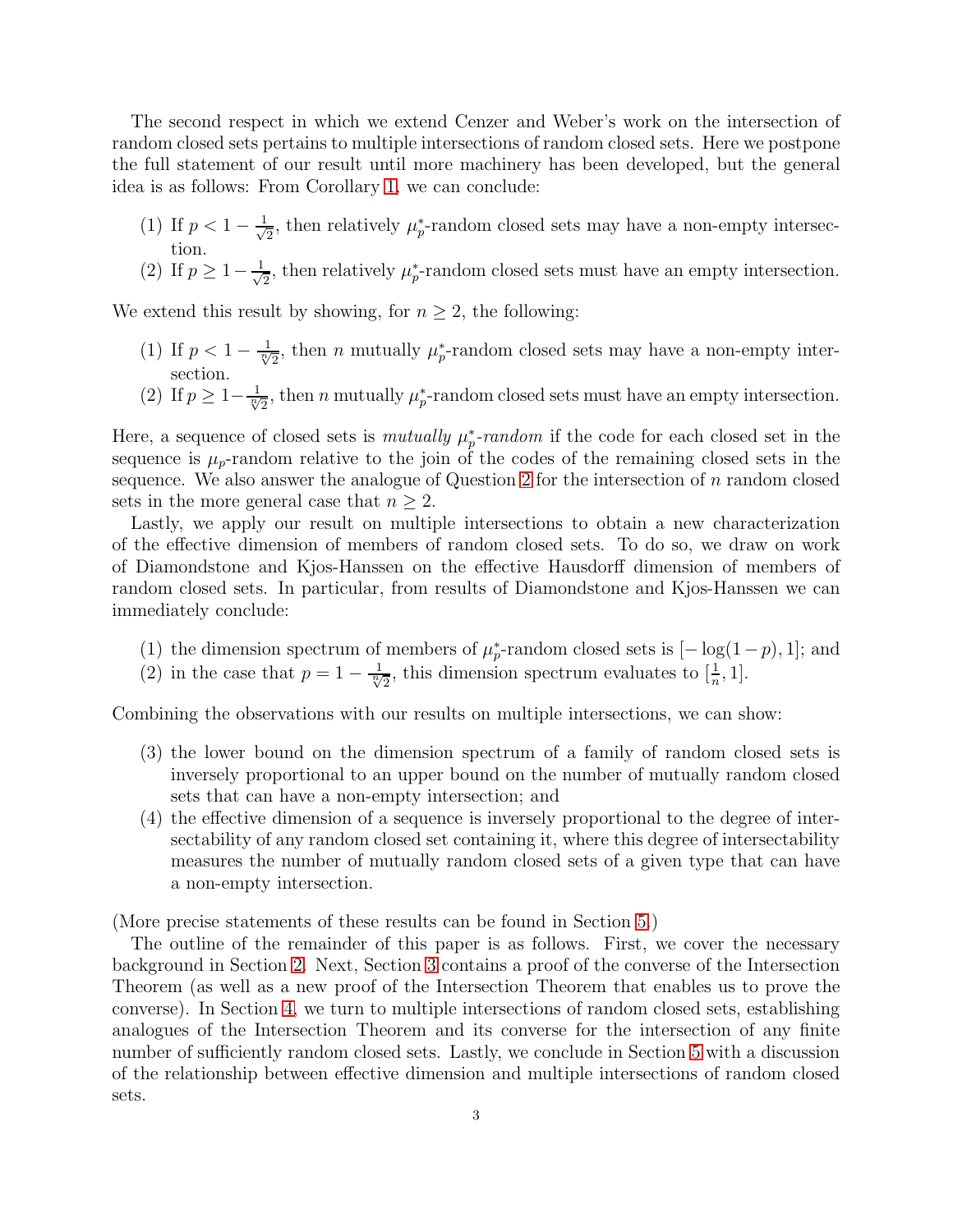The second respect in which we extend Cenzer and Weber's work on the intersection of random closed sets pertains to multiple intersections of random closed sets. Here we postpone the full statement of our result until more machinery has been developed, but the general idea is as follows: From Corollary [1,](#page-1-0) we can conclude:

- (1) If  $p < 1 \frac{1}{\sqrt{2}}$  $\frac{1}{2}$ , then relatively  $\mu_p^*$ -random closed sets may have a non-empty intersection.
- (2) If  $p \geq 1 \frac{1}{\sqrt{2}}$  $\frac{1}{2}$ , then relatively  $\mu_p^*$ -random closed sets must have an empty intersection.

We extend this result by showing, for  $n \geq 2$ , the following:

- (1) If  $p < 1 \frac{1}{\sqrt[3]{2}}$ , then *n* mutually  $\mu_p^*$ -random closed sets may have a non-empty intersection.
- (2) If  $p \geq 1 \frac{1}{\sqrt[n]{2}}$ , then *n* mutually  $\mu_p^*$ -random closed sets must have an empty intersection.

Here, a sequence of closed sets is *mutually*  $\mu_p^*$ -*random* if the code for each closed set in the sequence is  $\mu_p$ -random relative to the join of the codes of the remaining closed sets in the sequence. We also answer the analogue of Question [2](#page-1-1) for the intersection of  $n$  random closed sets in the more general case that  $n \geq 2$ .

Lastly, we apply our result on multiple intersections to obtain a new characterization of the effective dimension of members of random closed sets. To do so, we draw on work of Diamondstone and Kjos-Hanssen on the effective Hausdorff dimension of members of random closed sets. In particular, from results of Diamondstone and Kjos-Hanssen we can immediately conclude:

- (1) the dimension spectrum of members of  $\mu_p^*$ -random closed sets is  $[-\log(1-p), 1]$ ; and
- (2) in the case that  $p = 1 \frac{1}{\sqrt[n]{2}}$ , this dimension spectrum evaluates to  $[\frac{1}{n}, 1]$ .

Combining the observations with our results on multiple intersections, we can show:

- (3) the lower bound on the dimension spectrum of a family of random closed sets is inversely proportional to an upper bound on the number of mutually random closed sets that can have a non-empty intersection; and
- (4) the effective dimension of a sequence is inversely proportional to the degree of intersectability of any random closed set containing it, where this degree of intersectability measures the number of mutually random closed sets of a given type that can have a non-empty intersection.

(More precise statements of these results can be found in Section [5.](#page-16-0))

The outline of the remainder of this paper is as follows. First, we cover the necessary background in Section [2.](#page-3-0) Next, Section [3](#page-6-0) contains a proof of the converse of the Intersection Theorem (as well as a new proof of the Intersection Theorem that enables us to prove the converse). In Section [4,](#page-13-0) we turn to multiple intersections of random closed sets, establishing analogues of the Intersection Theorem and its converse for the intersection of any finite number of sufficiently random closed sets. Lastly, we conclude in Section [5](#page-16-0) with a discussion of the relationship between effective dimension and multiple intersections of random closed sets.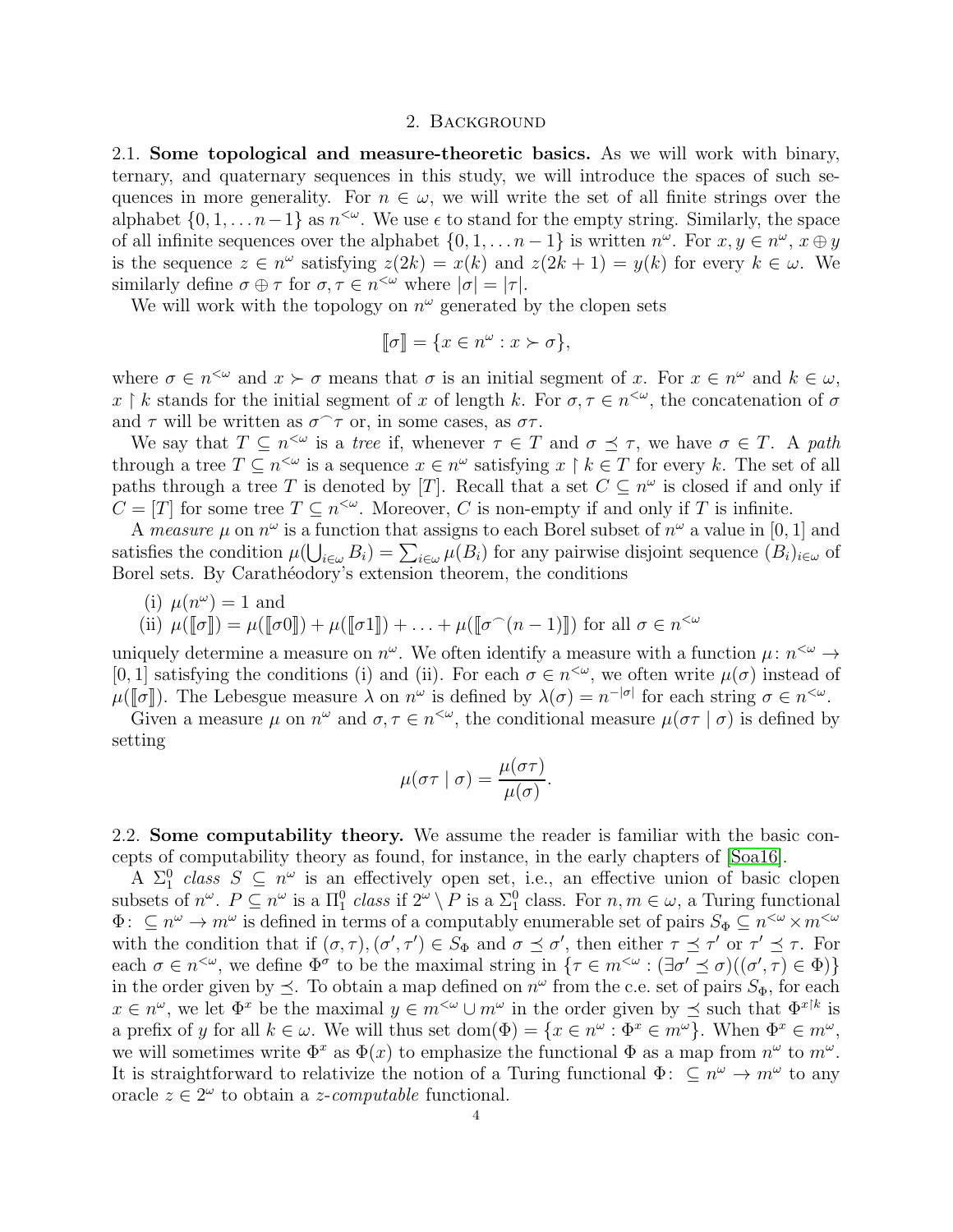#### 2. Background

<span id="page-3-0"></span>2.1. Some topological and measure-theoretic basics. As we will work with binary, ternary, and quaternary sequences in this study, we will introduce the spaces of such sequences in more generality. For  $n \in \omega$ , we will write the set of all finite strings over the alphabet  $\{0, 1, \ldots n-1\}$  as  $n^{\lt \omega}$ . We use  $\epsilon$  to stand for the empty string. Similarly, the space of all infinite sequences over the alphabet  $\{0, 1, \ldots n-1\}$  is written  $n^{\omega}$ . For  $x, y \in n^{\omega}$ ,  $x \oplus y$ is the sequence  $z \in n^{\omega}$  satisfying  $z(2k) = x(k)$  and  $z(2k + 1) = y(k)$  for every  $k \in \omega$ . We similarly define  $\sigma \oplus \tau$  for  $\sigma, \tau \in n^{\leq \omega}$  where  $|\sigma| = |\tau|$ .

We will work with the topology on  $n^{\omega}$  generated by the clopen sets

$$
[\![\sigma]\!] = \{ x \in n^\omega : x \succ \sigma \},
$$

where  $\sigma \in n^{\leq \omega}$  and  $x \succ \sigma$  means that  $\sigma$  is an initial segment of x. For  $x \in n^{\omega}$  and  $k \in \omega$ , x | k stands for the initial segment of x of length k. For  $\sigma, \tau \in n^{\leq \omega}$ , the concatenation of  $\sigma$ and  $\tau$  will be written as  $\sigma$   $\tau$  or, in some cases, as  $\sigma\tau$ .

We say that  $T \subseteq n^{\leq \omega}$  is a *tree* if, whenever  $\tau \in T$  and  $\sigma \preceq \tau$ , we have  $\sigma \in T$ . A *path* through a tree  $T \subseteq n^{\leq \omega}$  is a sequence  $x \in n^{\omega}$  satisfying  $x \upharpoonright k \in T$  for every k. The set of all paths through a tree T is denoted by [T]. Recall that a set  $C \subseteq n^{\omega}$  is closed if and only if  $C = [T]$  for some tree  $T \subseteq n^{<\omega}$ . Moreover, C is non-empty if and only if T is infinite.

A *measure*  $\mu$  on  $n^{\omega}$  is a function that assigns to each Borel subset of  $n^{\omega}$  a value in [0, 1] and satisfies the condition  $\mu(\bigcup_{i\in\omega}B_i)=\sum_{i\in\omega}\mu(B_i)$  for any pairwise disjoint sequence  $(B_i)_{i\in\omega}$  of Borel sets. By Carathéodory's extension theorem, the conditions

(i) 
$$
\mu(n^{\omega}) = 1
$$
 and

(ii) 
$$
\mu([\sigma]) = \mu([\sigma 0]) + \mu([\sigma 1]) + \ldots + \mu([\sigma^\frown(n-1)])
$$
 for all  $\sigma \in n^{<\omega}$ 

uniquely determine a measure on  $n^{\omega}$ . We often identify a measure with a function  $\mu : n^{<\omega} \to$ [0, 1] satisfying the conditions (i) and (ii). For each  $\sigma \in n^{<\omega}$ , we often write  $\mu(\sigma)$  instead of  $\mu([\sigma])$ . The Lebesgue measure  $\lambda$  on  $n^{\omega}$  is defined by  $\lambda(\sigma) = n^{-|\sigma|}$  for each string  $\sigma \in n^{<\omega}$ .

Given a measure  $\mu$  on  $n^{\omega}$  and  $\sigma, \tau \in n^{<\omega}$ , the conditional measure  $\mu(\sigma \tau | \sigma)$  is defined by setting

$$
\mu(\sigma \tau \mid \sigma) = \frac{\mu(\sigma \tau)}{\mu(\sigma)}.
$$

2.2. Some computability theory. We assume the reader is familiar with the basic concepts of computability theory as found, for instance, in the early chapters of [\[Soa16\]](#page-19-0).

A  $\Sigma_1^0$  class  $S \subseteq n^\omega$  is an effectively open set, i.e., an effective union of basic clopen  $A \nightharpoonup_1 \text{ class } B \subseteq n$  is an enectively open set, i.e., an enective union of basic clopen<br>subsets of  $n^{\omega}$ .  $P \subseteq n^{\omega}$  is a  $\Pi_1^0$  class if  $2^{\omega} \setminus P$  is a  $\Sigma_1^0$  class. For  $n, m \in \omega$ , a Turing functional  $\Phi: \subseteq n^{\omega} \to m^{\omega}$  is defined in terms of a computably enumerable set of pairs  $S_{\Phi} \subseteq n^{<\omega} \times m^{<\omega}$ with the condition that if  $(\sigma, \tau)$ ,  $(\sigma', \tau') \in S_{\Phi}$  and  $\sigma \preceq \sigma'$ , then either  $\tau \preceq \tau'$  or  $\tau' \preceq \tau$ . For each  $\sigma \in n^{\leq \omega}$ , we define  $\Phi^{\sigma}$  to be the maximal string in  $\{\tau \in m^{\leq \omega} : (\exists \sigma' \preceq \sigma)((\sigma', \tau) \in \Phi)\}\$ in the order given by  $\preceq$ . To obtain a map defined on  $n^{\omega}$  from the c.e. set of pairs  $S_{\Phi}$ , for each  $x \in n^{\omega}$ , we let  $\Phi^x$  be the maximal  $y \in m^{\omega} \cup m^{\omega}$  in the order given by  $\preceq$  such that  $\Phi^{x\upharpoonright k}$  is a prefix of y for all  $k \in \omega$ . We will thus set  $dom(\Phi) = \{x \in n^{\omega} : \Phi^x \in m^{\omega}\}\)$ . When  $\Phi^x \in m^{\omega}$ , we will sometimes write  $\Phi^x$  as  $\Phi(x)$  to emphasize the functional  $\Phi$  as a map from  $n^{\omega}$  to  $m^{\omega}$ . It is straightforward to relativize the notion of a Turing functional  $\Phi: \subseteq n^{\omega} \to m^{\omega}$  to any oracle  $z \in 2^{\omega}$  to obtain a *z*-*computable* functional.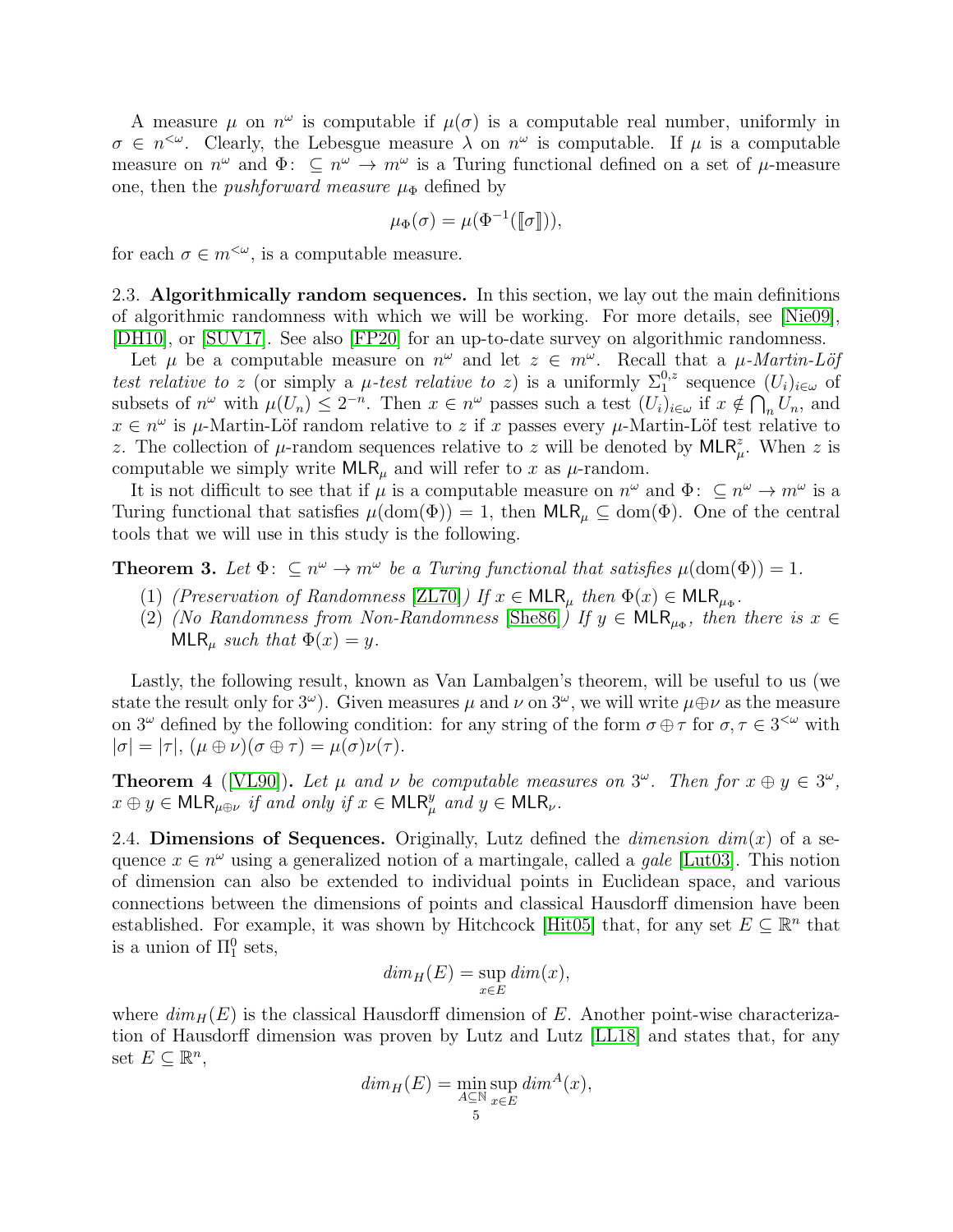A measure  $\mu$  on  $n^{\omega}$  is computable if  $\mu(\sigma)$  is a computable real number, uniformly in  $\sigma \in n^{\leq \omega}$ . Clearly, the Lebesgue measure  $\lambda$  on  $n^{\omega}$  is computable. If  $\mu$  is a computable measure on  $n^{\omega}$  and  $\Phi: \subseteq n^{\omega} \to m^{\omega}$  is a Turing functional defined on a set of  $\mu$ -measure one, then the *pushforward measure*  $\mu_{\Phi}$  defined by

$$
\mu_{\Phi}(\sigma) = \mu(\Phi^{-1}([\![\sigma]\!]))
$$

for each  $\sigma \in m^{<\omega}$ , is a computable measure.

2.3. Algorithmically random sequences. In this section, we lay out the main definitions of algorithmic randomness with which we will be working. For more details, see [\[Nie09\]](#page-19-1), [\[DH10\]](#page-18-8), or [\[SUV17\]](#page-19-2). See also [\[FP20\]](#page-18-9) for an up-to-date survey on algorithmic randomness.

Let  $\mu$  be a computable measure on  $n^{\omega}$  and let  $z \in m^{\omega}$ . Recall that a  $\mu$ -Martin-Löf *test relative to* z (or simply a  $\mu$ -test relative to z) is a uniformly  $\Sigma_1^{0,z}$  sequence  $(U_i)_{i\in\omega}$  of subsets of  $n^{\omega}$  with  $\mu(U_n) \leq 2^{-n}$ . Then  $x \in n^{\omega}$  passes such a test  $(U_i)_{i \in \omega}$  if  $x \notin \bigcap_n U_n$ , and  $x \in n^{\omega}$  is  $\mu$ -Martin-Löf random relative to z if x passes every  $\mu$ -Martin-Löf test relative to z. The collection of  $\mu$ -random sequences relative to z will be denoted by MLR<sup>z</sup><sub> $\mu$ </sub>. When z is computable we simply write  $MLR_\mu$  and will refer to x as  $\mu$ -random.

It is not difficult to see that if  $\mu$  is a computable measure on  $n^{\omega}$  and  $\Phi: \subseteq n^{\omega} \to m^{\omega}$  is a Turing functional that satisfies  $\mu(\text{dom}(\Phi)) = 1$ , then  $\text{MLR}_{\mu} \subseteq \text{dom}(\Phi)$ . One of the central tools that we will use in this study is the following.

**Theorem 3.** Let  $\Phi: \subseteq n^{\omega} \to m^{\omega}$  be a Turing functional that satisfies  $\mu(\text{dom}(\Phi)) = 1$ .

- (1) *(Preservation of Randomness* [\[ZL70\]](#page-19-3)*)* If  $x \in \textsf{MLR}_{\mu}$  *then*  $\Phi(x) \in \textsf{MLR}_{\mu_{\Phi}}$ .
- (2) *(No Randomness from Non-Randomness* [\[She86\]](#page-19-4)) If  $y \in MLR_{\mu_{\Phi}}$ , then there is  $x \in$  $MLR_\mu$  *such that*  $\Phi(x) = y$ .

Lastly, the following result, known as Van Lambalgen's theorem, will be useful to us (we state the result only for  $3^{\omega}$ ). Given measures  $\mu$  and  $\nu$  on  $3^{\omega}$ , we will write  $\mu \oplus \nu$  as the measure on  $3^{\omega}$  defined by the following condition: for any string of the form  $\sigma \oplus \tau$  for  $\sigma, \tau \in 3^{\omega}$  with  $|\sigma| = |\tau|, (\mu \oplus \nu)(\sigma \oplus \tau) = \mu(\sigma)\nu(\tau).$ 

**Theorem 4** ([\[VL90\]](#page-19-5)). Let  $\mu$  and  $\nu$  be computable measures on  $3^{\omega}$ . Then for  $x \oplus y \in 3^{\omega}$ ,  $x \oplus y \in \mathsf{MLR}_{\mu \oplus \nu}$  *if and only if*  $x \in \mathsf{MLR}_{\mu}^y$  *and*  $y \in \mathsf{MLR}_{\nu}$ *.* 

2.4. **Dimensions of Sequences.** Originally, Lutz defined the *dimension*  $dim(x)$  of a sequence  $x \in n^{\omega}$  using a generalized notion of a martingale, called a *gale* [\[Lut03\]](#page-19-6). This notion of dimension can also be extended to individual points in Euclidean space, and various connections between the dimensions of points and classical Hausdorff dimension have been established. For example, it was shown by Hitchcock [\[Hit05\]](#page-18-10) that, for any set  $E \subseteq \mathbb{R}^n$  that is a union of  $\Pi_1^0$  sets,

$$
dim_H(E) = \sup_{x \in E} dim(x),
$$

where  $\dim_H(E)$  is the classical Hausdorff dimension of E. Another point-wise characterization of Hausdorff dimension was proven by Lutz and Lutz [\[LL18\]](#page-19-7) and states that, for any set  $E \subseteq \mathbb{R}^n$ ,

$$
dim_H(E) = \min_{A \subseteq \mathbb{N}} \sup_{x \in E} dim^A(x),
$$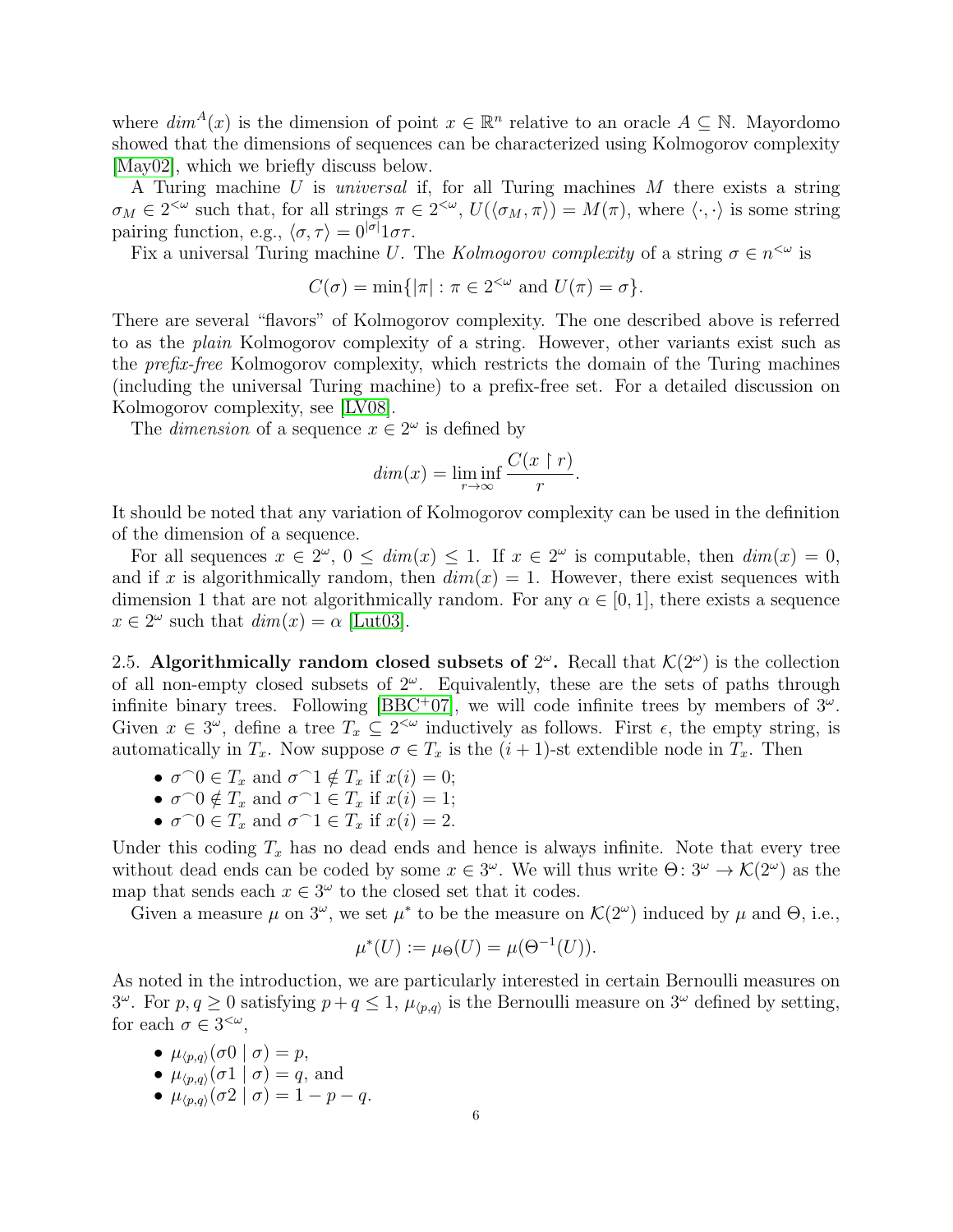where  $\dim^A(x)$  is the dimension of point  $x \in \mathbb{R}^n$  relative to an oracle  $A \subseteq \mathbb{N}$ . Mayordomo showed that the dimensions of sequences can be characterized using Kolmogorov complexity [\[May02\]](#page-19-8), which we briefly discuss below.

A Turing machine U is *universal* if, for all Turing machines M there exists a string  $\sigma_M \in 2^{<\omega}$  such that, for all strings  $\pi \in 2^{<\omega}$ ,  $U(\langle \sigma_M, \pi \rangle) = M(\pi)$ , where  $\langle \cdot, \cdot \rangle$  is some string pairing function, e.g.,  $\langle \sigma, \tau \rangle = 0^{|\sigma|} 1 \sigma \tau$ .

Fix a universal Turing machine U. The *Kolmogorov complexity* of a string  $\sigma \in n^{\leq \omega}$  is

$$
C(\sigma) = \min\{|\pi| : \pi \in 2^{<\omega} \text{ and } U(\pi) = \sigma\}.
$$

There are several "flavors" of Kolmogorov complexity. The one described above is referred to as the *plain* Kolmogorov complexity of a string. However, other variants exist such as the *prefix-free* Kolmogorov complexity, which restricts the domain of the Turing machines (including the universal Turing machine) to a prefix-free set. For a detailed discussion on Kolmogorov complexity, see [\[LV08\]](#page-19-9).

The *dimension* of a sequence  $x \in 2^{\omega}$  is defined by

$$
dim(x) = \liminf_{r \to \infty} \frac{C(x \restriction r)}{r}.
$$

It should be noted that any variation of Kolmogorov complexity can be used in the definition of the dimension of a sequence.

For all sequences  $x \in 2^{\omega}$ ,  $0 \le dim(x) \le 1$ . If  $x \in 2^{\omega}$  is computable, then  $dim(x) = 0$ , and if x is algorithmically random, then  $dim(x) = 1$ . However, there exist sequences with dimension 1 that are not algorithmically random. For any  $\alpha \in [0, 1]$ , there exists a sequence  $x \in 2^{\omega}$  such that  $dim(x) = \alpha$  [\[Lut03\]](#page-19-6).

<span id="page-5-0"></span>2.5. Algorithmically random closed subsets of  $2^{\omega}$ . Recall that  $\mathcal{K}(2^{\omega})$  is the collection of all non-empty closed subsets of  $2^{\omega}$ . Equivalently, these are the sets of paths through infinite binary trees. Following [\[BBC](#page-18-1)+07], we will code infinite trees by members of  $3^{\omega}$ . Given  $x \in 3^{\omega}$ , define a tree  $T_x \subseteq 2^{<\omega}$  inductively as follows. First  $\epsilon$ , the empty string, is automatically in  $T_x$ . Now suppose  $\sigma \in T_x$  is the  $(i + 1)$ -st extendible node in  $T_x$ . Then

- $\sigma \cap 0 \in T_x$  and  $\sigma \cap 1 \notin T_x$  if  $x(i) = 0$ ;
- $\sigma \cap 0 \notin T_x$  and  $\sigma \cap 1 \in T_x$  if  $x(i) = 1$ ;
- $\sigma \cap 0 \in T_x$  and  $\sigma \cap 1 \in T_x$  if  $x(i) = 2$ .

Under this coding  $T_x$  has no dead ends and hence is always infinite. Note that every tree without dead ends can be coded by some  $x \in 3^{\omega}$ . We will thus write  $\Theta: 3^{\omega} \to \mathcal{K}(2^{\omega})$  as the map that sends each  $x \in 3^{\omega}$  to the closed set that it codes.

Given a measure  $\mu$  on  $3^{\omega}$ , we set  $\mu^*$  to be the measure on  $\mathcal{K}(2^{\omega})$  induced by  $\mu$  and  $\Theta$ , i.e.,

$$
\mu^*(U) := \mu_{\Theta}(U) = \mu(\Theta^{-1}(U)).
$$

As noted in the introduction, we are particularly interested in certain Bernoulli measures on  $3^{\omega}$ . For  $p, q \ge 0$  satisfying  $p + q \le 1$ ,  $\mu_{\langle p,q \rangle}$  is the Bernoulli measure on  $3^{\omega}$  defined by setting, for each  $\sigma \in 3^{<\omega}$ ,

- $\mu_{\langle p,q\rangle}(\sigma 0 \mid \sigma) = p$ ,
- $\mu_{\langle p,q\rangle}(\sigma1 \mid \sigma) = q$ , and
- $\mu_{\langle p,q\rangle}(\sigma_2 | \sigma) = 1 p q.$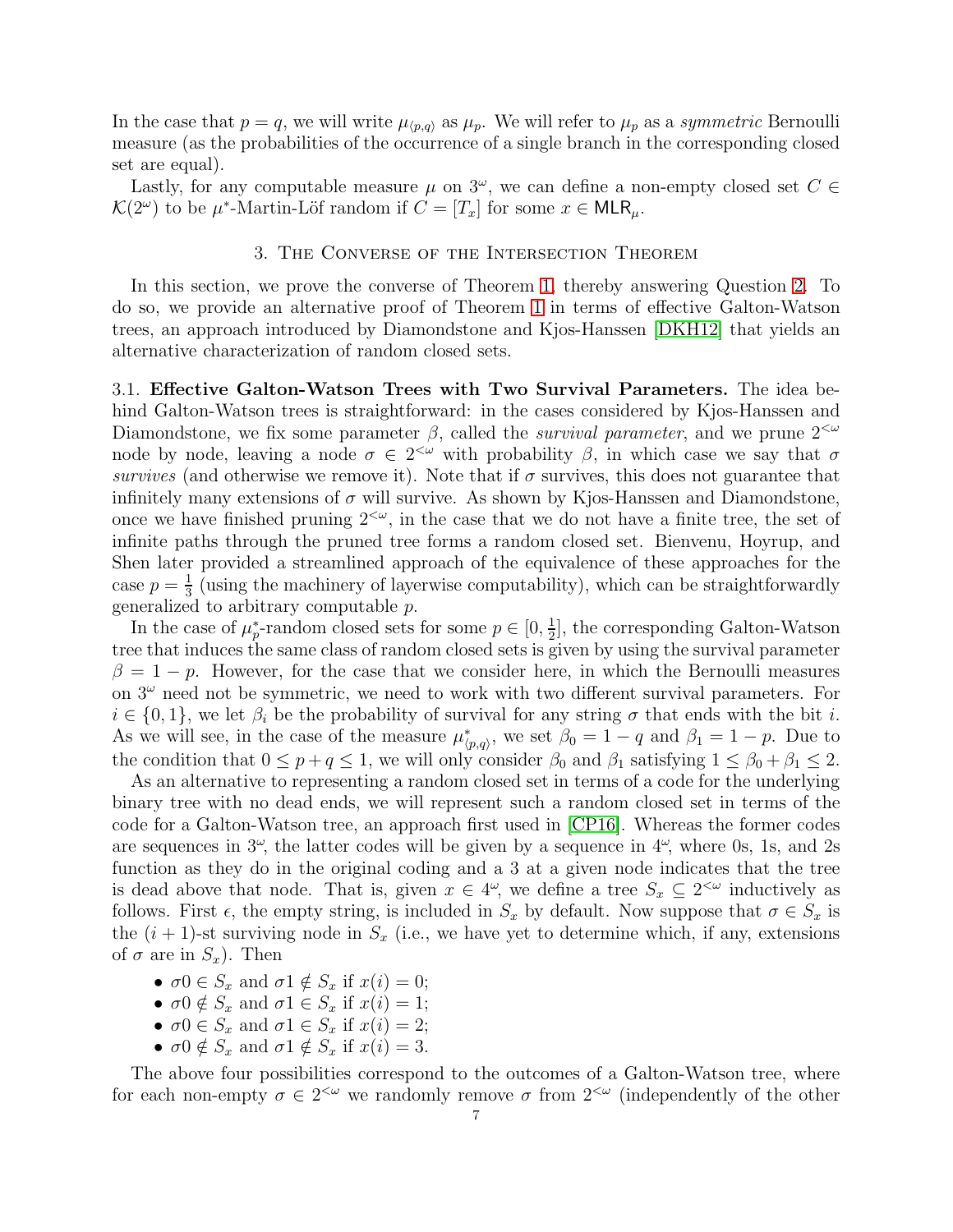In the case that  $p = q$ , we will write  $\mu_{(p,q)}$  as  $\mu_p$ . We will refer to  $\mu_p$  as a *symmetric* Bernoulli measure (as the probabilities of the occurrence of a single branch in the corresponding closed set are equal).

<span id="page-6-0"></span>Lastly, for any computable measure  $\mu$  on  $3^{\omega}$ , we can define a non-empty closed set  $C \in$  $\mathcal{K}(2^{\omega})$  to be  $\mu^*$ -Martin-Löf random if  $C = [T_x]$  for some  $x \in \mathsf{MLR}_{\mu}$ .

### 3. The Converse of the Intersection Theorem

In this section, we prove the converse of Theorem [1,](#page-0-0) thereby answering Question [2.](#page-1-1) To do so, we provide an alternative proof of Theorem [1](#page-0-0) in terms of effective Galton-Watson trees, an approach introduced by Diamondstone and Kjos-Hanssen [\[DKH12\]](#page-18-3) that yields an alternative characterization of random closed sets.

<span id="page-6-1"></span>3.1. Effective Galton-Watson Trees with Two Survival Parameters. The idea behind Galton-Watson trees is straightforward: in the cases considered by Kjos-Hanssen and Diamondstone, we fix some parameter  $\beta$ , called the *survival parameter*, and we prune  $2^{<\omega}$ node by node, leaving a node  $\sigma \in 2^{<\omega}$  with probability  $\beta$ , in which case we say that  $\sigma$ *survives* (and otherwise we remove it). Note that if  $\sigma$  survives, this does not guarantee that infinitely many extensions of  $\sigma$  will survive. As shown by Kjos-Hanssen and Diamondstone, once we have finished pruning  $2^{<\omega}$ , in the case that we do not have a finite tree, the set of infinite paths through the pruned tree forms a random closed set. Bienvenu, Hoyrup, and Shen later provided a streamlined approach of the equivalence of these approaches for the case  $p=\frac{1}{3}$  $\frac{1}{3}$  (using the machinery of layerwise computability), which can be straightforwardly generalized to arbitrary computable p.

In the case of  $\mu_p^*$ -random closed sets for some  $p \in [0, \frac{1}{2}]$  $\frac{1}{2}$ , the corresponding Galton-Watson tree that induces the same class of random closed sets is given by using the survival parameter  $\beta = 1 - p$ . However, for the case that we consider here, in which the Bernoulli measures on  $3^{\omega}$  need not be symmetric, we need to work with two different survival parameters. For  $i \in \{0,1\}$ , we let  $\beta_i$  be the probability of survival for any string  $\sigma$  that ends with the bit i. As we will see, in the case of the measure  $\mu^*_{\langle p,q\rangle}$ , we set  $\beta_0 = 1 - q$  and  $\beta_1 = 1 - p$ . Due to the condition that  $0 \le p + q \le 1$ , we will only consider  $\beta_0$  and  $\beta_1$  satisfying  $1 \le \beta_0 + \beta_1 \le 2$ .

As an alternative to representing a random closed set in terms of a code for the underlying binary tree with no dead ends, we will represent such a random closed set in terms of the code for a Galton-Watson tree, an approach first used in [\[CP16\]](#page-18-5). Whereas the former codes are sequences in  $3^{\omega}$ , the latter codes will be given by a sequence in  $4^{\omega}$ , where 0s, 1s, and 2s function as they do in the original coding and a 3 at a given node indicates that the tree is dead above that node. That is, given  $x \in 4^{\omega}$ , we define a tree  $S_x \subseteq 2^{<\omega}$  inductively as follows. First  $\epsilon$ , the empty string, is included in  $S_x$  by default. Now suppose that  $\sigma \in S_x$  is the  $(i + 1)$ -st surviving node in  $S_x$  (i.e., we have yet to determine which, if any, extensions of  $\sigma$  are in  $S_x$ ). Then

- $\sigma 0 \in S_x$  and  $\sigma 1 \notin S_x$  if  $x(i) = 0$ ;
- $\sigma 0 \notin S_x$  and  $\sigma 1 \in S_x$  if  $x(i) = 1$ ;
- $\sigma 0 \in S_x$  and  $\sigma 1 \in S_x$  if  $x(i) = 2$ ;
- $\sigma 0 \notin S_x$  and  $\sigma 1 \notin S_x$  if  $x(i) = 3$ .

The above four possibilities correspond to the outcomes of a Galton-Watson tree, where for each non-empty  $\sigma \in 2^{<\omega}$  we randomly remove  $\sigma$  from  $2^{<\omega}$  (independently of the other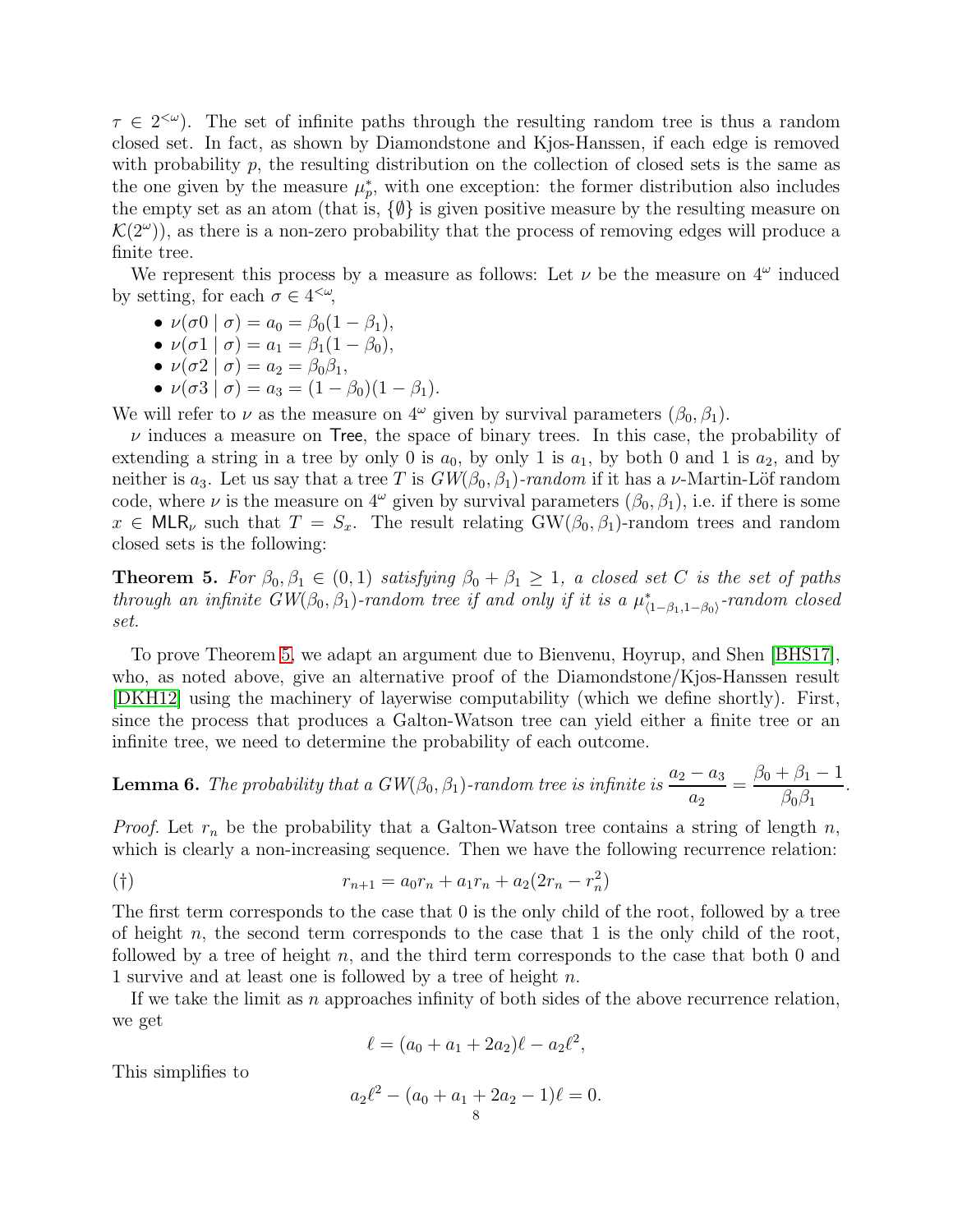$\tau \in 2^{<\omega}$ . The set of infinite paths through the resulting random tree is thus a random closed set. In fact, as shown by Diamondstone and Kjos-Hanssen, if each edge is removed with probability  $p$ , the resulting distribution on the collection of closed sets is the same as the one given by the measure  $\mu_p^*$ , with one exception: the former distribution also includes the empty set as an atom (that is,  $\{\emptyset\}$  is given positive measure by the resulting measure on  $\mathcal{K}(2^{\omega})$ , as there is a non-zero probability that the process of removing edges will produce a finite tree.

We represent this process by a measure as follows: Let  $\nu$  be the measure on  $4^{\omega}$  induced by setting, for each  $\sigma \in 4^{<\omega}$ ,

• 
$$
\nu(\sigma 0 | \sigma) = a_0 = \beta_0 (1 - \beta_1),
$$

• 
$$
\nu(\sigma_1 | \sigma) = a_1 = \beta_1(1 - \beta_0),
$$

- $\nu(\sigma_2 | \sigma) = a_2 = \beta_0 \beta_1,$
- $\nu(\sigma 3 | \sigma) = a_3 = (1 \beta_0)(1 \beta_1).$

We will refer to  $\nu$  as the measure on  $4^{\omega}$  given by survival parameters  $(\beta_0, \beta_1)$ .

 $\nu$  induces a measure on Tree, the space of binary trees. In this case, the probability of extending a string in a tree by only 0 is  $a_0$ , by only 1 is  $a_1$ , by both 0 and 1 is  $a_2$ , and by neither is a<sub>3</sub>. Let us say that a tree T is  $GW(\beta_0, \beta_1)$ *-random* if it has a v-Martin-Löf random code, where  $\nu$  is the measure on  $4^{\omega}$  given by survival parameters  $(\beta_0, \beta_1)$ , i.e. if there is some  $x \in \text{MLR}_{\nu}$  such that  $T = S_x$ . The result relating GW( $\beta_0, \beta_1$ )-random trees and random closed sets is the following:

<span id="page-7-0"></span>**Theorem 5.** For  $\beta_0, \beta_1 \in (0,1)$  *satisfying*  $\beta_0 + \beta_1 \geq 1$ *, a closed set* C *is the set of paths through an infinite GW*( $\beta_0$ ,  $\beta_1$ )*-random tree if and only if it is a*  $\mu^*_{(1-\beta_1,1-\beta_0)}$ *-random closed set.*

To prove Theorem [5,](#page-7-0) we adapt an argument due to Bienvenu, Hoyrup, and Shen [\[BHS17\]](#page-18-7), who, as noted above, give an alternative proof of the Diamondstone/Kjos-Hanssen result [\[DKH12\]](#page-18-3) using the machinery of layerwise computability (which we define shortly). First, since the process that produces a Galton-Watson tree can yield either a finite tree or an infinite tree, we need to determine the probability of each outcome.

<span id="page-7-1"></span>**Lemma 6.** The probability that a 
$$
GW(\beta_0, \beta_1)
$$
-random tree is infinite is  $\frac{a_2 - a_3}{a_2} = \frac{\beta_0 + \beta_1 - 1}{\beta_0 \beta_1}$ 

*.*

*Proof.* Let  $r_n$  be the probability that a Galton-Watson tree contains a string of length n, which is clearly a non-increasing sequence. Then we have the following recurrence relation:

$$
(†)\qquad \qquad r_{n+1} = a_0 r_n + a_1 r_n + a_2 (2r_n - r_n^2)
$$

The first term corresponds to the case that 0 is the only child of the root, followed by a tree of height n, the second term corresponds to the case that 1 is the only child of the root, followed by a tree of height n, and the third term corresponds to the case that both 0 and 1 survive and at least one is followed by a tree of height n.

If we take the limit as n approaches infinity of both sides of the above recurrence relation, we get

$$
\ell = (a_0 + a_1 + 2a_2)\ell - a_2\ell^2,
$$

This simplifies to

$$
a_2\ell^2 - (a_0 + a_1 + 2a_2 - 1)\ell = 0.
$$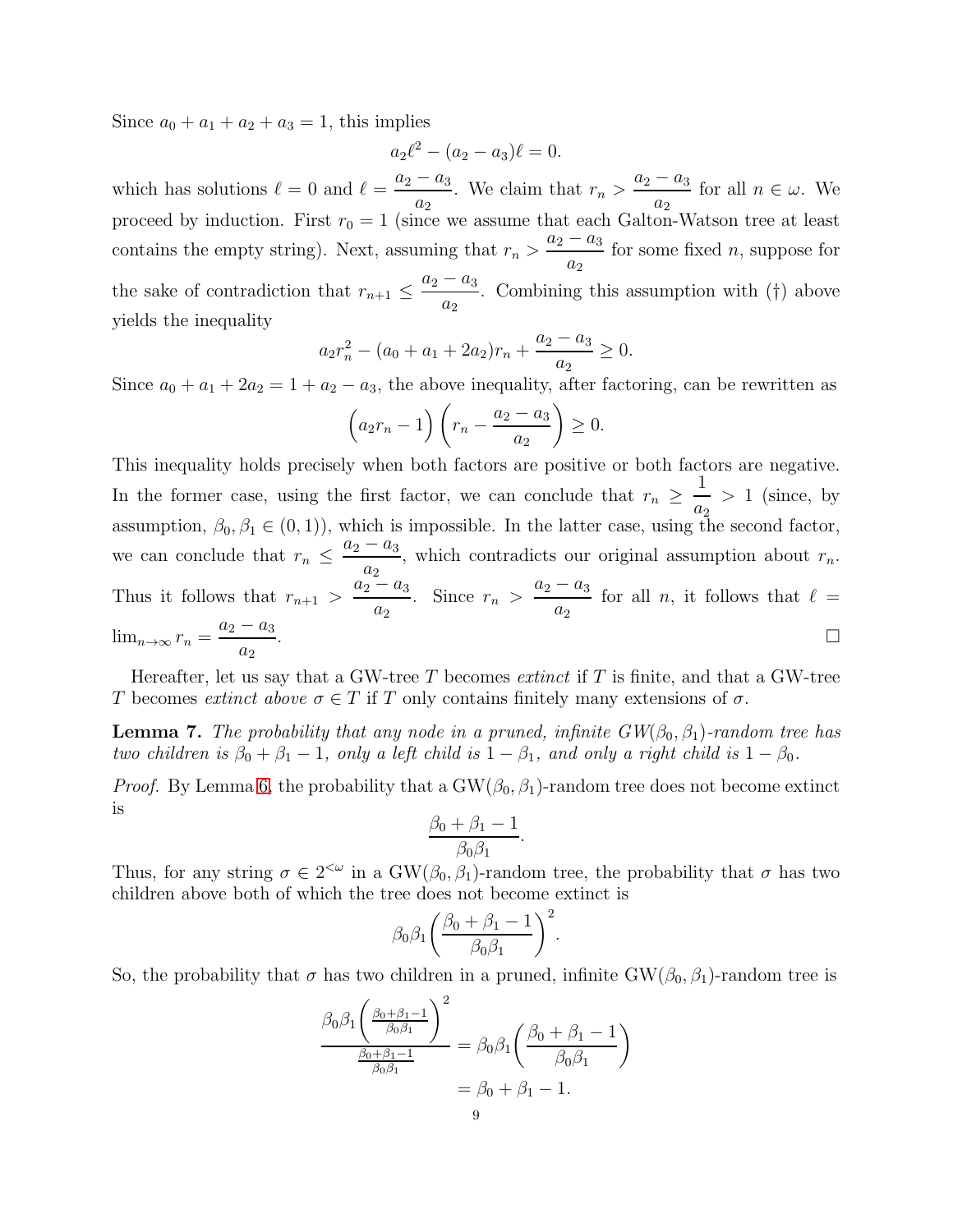Since  $a_0 + a_1 + a_2 + a_3 = 1$ , this implies

$$
a_2\ell^2 - (a_2 - a_3)\ell = 0.
$$

which has solutions  $\ell = 0$  and  $\ell = \frac{a_2 - a_3}{a_1}$  $a_2$ . We claim that  $r_n > \frac{a_2 - a_3}{a_2 - a_3}$  $\frac{a_3}{a_2}$  for all  $n \in \omega$ . We proceed by induction. First  $r_0 = 1$  (since we assume that each Galton-Watson tree at least contains the empty string). Next, assuming that  $r_n > \frac{a_2 - a_3}{a_2 - a_3}$  $a_2$ for some fixed  $n$ , suppose for the sake of contradiction that  $r_{n+1} \leq$  $a_2 - a_3$  $\frac{a_3}{a_2}$ . Combining this assumption with (†) above yields the inequality

$$
a_2r_n^2 - (a_0 + a_1 + 2a_2)r_n + \frac{a_2 - a_3}{a_2} \ge 0.
$$

Since  $a_0 + a_1 + 2a_2 = 1 + a_2 - a_3$ , the above inequality, after factoring, can be rewritten as

$$
(a_2r_n-1)\left(r_n-\frac{a_2-a_3}{a_2}\right)\geq 0.
$$

This inequality holds precisely when both factors are positive or both factors are negative. In the former case, using the first factor, we can conclude that  $r_n \geq$ 1  $a_2$  $> 1$  (since, by assumption,  $\beta_0, \beta_1 \in (0, 1)$ , which is impossible. In the latter case, using the second factor, we can conclude that  $r_n \leq$  $a_2 - a_3$  $a_2$ , which contradicts our original assumption about  $r_n$ . Thus it follows that  $r_{n+1} > \frac{a_2 - a_3}{a_3}$  $a_2$ . Since  $r_n > \frac{a_2 - a_3}{a_2 - a_3}$  $a_2$ for all *n*, it follows that  $\ell =$  $\lim_{n\to\infty} r_n = \frac{a_2 - a_3}{a_2}$  $a_2$ . В последните поставите на селото на селото на селото на селото на селото на селото на селото на селото на се<br>Селото на селото на селото на селото на селото на селото на селото на селото на селото на селото на селото на

Hereafter, let us say that a GW-tree T becomes *extinct* if T is finite, and that a GW-tree T becomes *extinct above*  $\sigma \in T$  if T only contains finitely many extensions of  $\sigma$ .

<span id="page-8-0"></span>**Lemma 7.** *The probability that any node in a pruned, infinite*  $GW(\beta_0, \beta_1)$ *-random tree has two children is*  $\beta_0 + \beta_1 - 1$ *, only a left child is*  $1 - \beta_1$ *, and only a right child is*  $1 - \beta_0$ *.* 

*Proof.* By Lemma [6,](#page-7-1) the probability that a  $GW(\beta_0, \beta_1)$ -random tree does not become extinct is

$$
\frac{\beta_0 + \beta_1 - 1}{\beta_0 \beta_1}.
$$

Thus, for any string  $\sigma \in 2^{<\omega}$  in a GW( $\beta_0$ ,  $\beta_1$ )-random tree, the probability that  $\sigma$  has two children above both of which the tree does not become extinct is

$$
\beta_0 \beta_1 \bigg(\frac{\beta_0 + \beta_1 - 1}{\beta_0 \beta_1}\bigg)^2.
$$

So, the probability that  $\sigma$  has two children in a pruned, infinite GW( $\beta_0$ ,  $\beta_1$ )-random tree is

$$
\frac{\beta_0 \beta_1 \left( \frac{\beta_0 + \beta_1 - 1}{\beta_0 \beta_1} \right)^2}{\frac{\beta_0 + \beta_1 - 1}{\beta_0 \beta_1}} = \beta_0 \beta_1 \left( \frac{\beta_0 + \beta_1 - 1}{\beta_0 \beta_1} \right)
$$

$$
= \beta_0 + \beta_1 - 1.
$$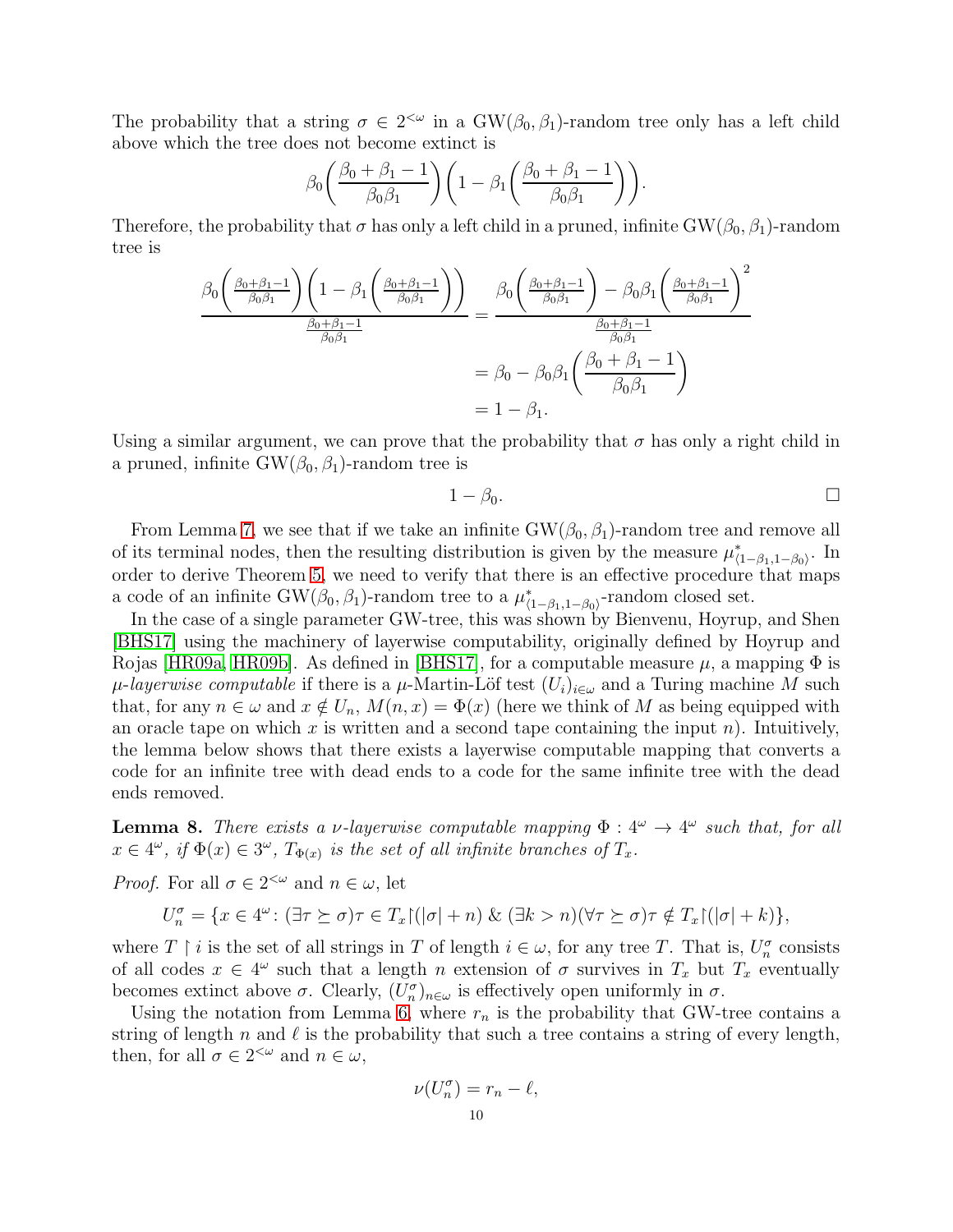The probability that a string  $\sigma \in 2^{<\omega}$  in a GW( $\beta_0$ ,  $\beta_1$ )-random tree only has a left child above which the tree does not become extinct is

$$
\beta_0 \left( \frac{\beta_0 + \beta_1 - 1}{\beta_0 \beta_1} \right) \left( 1 - \beta_1 \left( \frac{\beta_0 + \beta_1 - 1}{\beta_0 \beta_1} \right) \right).
$$

Therefore, the probability that  $\sigma$  has only a left child in a pruned, infinite GW( $\beta_0$ ,  $\beta_1$ )-random tree is

$$
\frac{\beta_0 \left(\frac{\beta_0 + \beta_1 - 1}{\beta_0 \beta_1}\right) \left(1 - \beta_1 \left(\frac{\beta_0 + \beta_1 - 1}{\beta_0 \beta_1}\right)\right)}{\frac{\beta_0 + \beta_1 - 1}{\beta_0 \beta_1}} = \frac{\beta_0 \left(\frac{\beta_0 + \beta_1 - 1}{\beta_0 \beta_1}\right) - \beta_0 \beta_1 \left(\frac{\beta_0 + \beta_1 - 1}{\beta_0 \beta_1}\right)^2}{\frac{\beta_0 + \beta_1 - 1}{\beta_0 \beta_1}}}{0 \qquad \beta_0 \beta_1} = \beta_0 - \beta_0 \beta_1 \left(\frac{\beta_0 + \beta_1 - 1}{\beta_0 \beta_1}\right)
$$
  
= 1 - \beta\_1.

Using a similar argument, we can prove that the probability that  $\sigma$  has only a right child in a pruned, infinite  $GW(\beta_0, \beta_1)$ -random tree is

$$
1-\beta_0.\qquad \qquad \square
$$

From Lemma [7,](#page-8-0) we see that if we take an infinite  $GW(\beta_0, \beta_1)$ -random tree and remove all of its terminal nodes, then the resulting distribution is given by the measure  $\mu_{(1-\beta_1,1-\beta_0)}^*$ . In order to derive Theorem [5,](#page-7-0) we need to verify that there is an effective procedure that maps a code of an infinite  $GW(\beta_0, \beta_1)$ -random tree to a  $\mu^*_{\langle 1-\beta_1, 1-\beta_0 \rangle}$ -random closed set.

In the case of a single parameter GW-tree, this was shown by Bienvenu, Hoyrup, and Shen [\[BHS17\]](#page-18-7) using the machinery of layerwise computability, originally defined by Hoyrup and Rojas [\[HR09a,](#page-18-11) [HR09b\]](#page-19-10). As defined in [\[BHS17\]](#page-18-7), for a computable measure  $\mu$ , a mapping  $\Phi$  is  $\mu$ -*layerwise computable* if there is a  $\mu$ -Martin-Löf test  $(U_i)_{i\in\omega}$  and a Turing machine M such that, for any  $n \in \omega$  and  $x \notin U_n$ ,  $M(n, x) = \Phi(x)$  (here we think of M as being equipped with an oracle tape on which x is written and a second tape containing the input n). Intuitively, the lemma below shows that there exists a layerwise computable mapping that converts a code for an infinite tree with dead ends to a code for the same infinite tree with the dead ends removed.

<span id="page-9-0"></span>**Lemma 8.** There exists a v-layerwise computable mapping  $\Phi: 4^{\omega} \to 4^{\omega}$  such that, for all  $x \in 4^{\omega}$ , if  $\Phi(x) \in 3^{\omega}$ ,  $T_{\Phi(x)}$  is the set of all infinite branches of  $T_x$ .

*Proof.* For all  $\sigma \in 2^{<\omega}$  and  $n \in \omega$ , let

$$
U_n^{\sigma} = \{ x \in 4^{\omega} \colon (\exists \tau \succeq \sigma) \tau \in T_x \} (\lvert \sigma \rvert + n) \& (\exists k > n) (\forall \tau \succeq \sigma) \tau \notin T_x \} (\lvert \sigma \rvert + k) \},
$$

where  $T \restriction i$  is the set of all strings in  $T$  of length  $i \in \omega$ , for any tree  $T$ . That is,  $U_n^{\sigma}$  consists of all codes  $x \in 4^{\omega}$  such that a length n extension of  $\sigma$  survives in  $T_x$  but  $T_x$  eventually becomes extinct above  $\sigma$ . Clearly,  $(U_n^{\sigma})_{n\in\omega}$  is effectively open uniformly in  $\sigma$ .

Using the notation from Lemma [6,](#page-7-1) where  $r_n$  is the probability that GW-tree contains a string of length n and  $\ell$  is the probability that such a tree contains a string of every length, then, for all  $\sigma \in 2^{<\omega}$  and  $n \in \omega$ ,

$$
\nu(U_n^{\sigma}) = r_n - \ell,
$$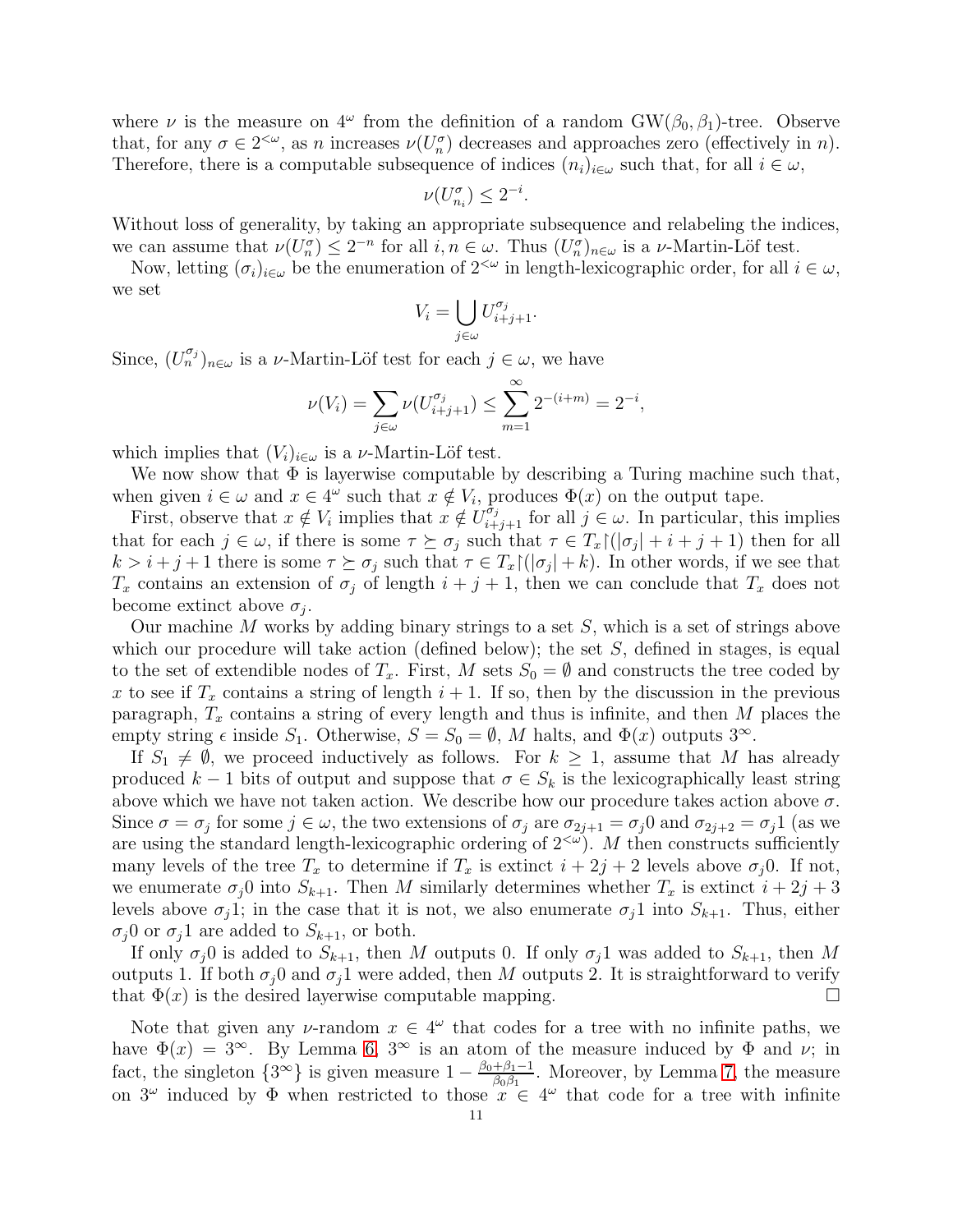where  $\nu$  is the measure on  $4^{\omega}$  from the definition of a random GW( $\beta_0$ ,  $\beta_1$ )-tree. Observe that, for any  $\sigma \in 2^{<\omega}$ , as n increases  $\nu(U_n^{\sigma})$  decreases and approaches zero (effectively in n). Therefore, there is a computable subsequence of indices  $(n_i)_{i\in\omega}$  such that, for all  $i\in\omega$ ,

$$
\nu(U_{n_i}^{\sigma}) \leq 2^{-i}.
$$

Without loss of generality, by taking an appropriate subsequence and relabeling the indices, we can assume that  $\nu(U_n^{\sigma}) \leq 2^{-n}$  for all  $i, n \in \omega$ . Thus  $(U_n^{\sigma})_{n \in \omega}$  is a  $\nu$ -Martin-Löf test.

Now, letting  $(\sigma_i)_{i\in\omega}$  be the enumeration of  $2^{<\omega}$  in length-lexicographic order, for all  $i\in\omega$ , we set

$$
V_i = \bigcup_{j \in \omega} U_{i+j+1}^{\sigma_j}.
$$

Since,  $(U_n^{\sigma_j})_{n \in \omega}$  is a *v*-Martin-Löf test for each  $j \in \omega$ , we have

$$
\nu(V_i) = \sum_{j \in \omega} \nu(U_{i+j+1}^{\sigma_j}) \le \sum_{m=1}^{\infty} 2^{-(i+m)} = 2^{-i},
$$

which implies that  $(V_i)_{i\in\omega}$  is a *ν*-Martin-Löf test.

We now show that  $\Phi$  is layerwise computable by describing a Turing machine such that, when given  $i \in \omega$  and  $x \in 4^{\omega}$  such that  $x \notin V_i$ , produces  $\Phi(x)$  on the output tape.

First, observe that  $x \notin V_i$  implies that  $x \notin U_{i+j+1}^{\hat{\sigma}_j}$  for all  $j \in \omega$ . In particular, this implies that for each  $j \in \omega$ , if there is some  $\tau \succeq \sigma_j$  such that  $\tau \in T_x \cap (\vert \sigma_j \vert + i + j + 1)$  then for all  $k > i + j + 1$  there is some  $\tau \succeq \sigma_j$  such that  $\tau \in T_x \setminus (\vert \sigma_j \vert + k)$ . In other words, if we see that  $T_x$  contains an extension of  $\sigma_j$  of length  $i + j + 1$ , then we can conclude that  $T_x$  does not become extinct above  $\sigma_j$ .

Our machine M works by adding binary strings to a set  $S$ , which is a set of strings above which our procedure will take action (defined below); the set  $S$ , defined in stages, is equal to the set of extendible nodes of  $T_x$ . First, M sets  $S_0 = \emptyset$  and constructs the tree coded by x to see if  $T_x$  contains a string of length  $i + 1$ . If so, then by the discussion in the previous paragraph,  $T_x$  contains a string of every length and thus is infinite, and then M places the empty string  $\epsilon$  inside  $S_1$ . Otherwise,  $S = S_0 = \emptyset$ , M halts, and  $\Phi(x)$  outputs  $3^{\infty}$ .

If  $S_1 \neq \emptyset$ , we proceed inductively as follows. For  $k \geq 1$ , assume that M has already produced  $k-1$  bits of output and suppose that  $\sigma \in S_k$  is the lexicographically least string above which we have not taken action. We describe how our procedure takes action above  $\sigma$ . Since  $\sigma = \sigma_j$  for some  $j \in \omega$ , the two extensions of  $\sigma_j$  are  $\sigma_{2j+1} = \sigma_j 0$  and  $\sigma_{2j+2} = \sigma_j 1$  (as we are using the standard length-lexicographic ordering of  $2<sup>{\omega}</sup>$ . M then constructs sufficiently many levels of the tree  $T_x$  to determine if  $T_x$  is extinct  $i + 2j + 2$  levels above  $\sigma_i$ 0. If not, we enumerate  $\sigma_i$ 0 into  $S_{k+1}$ . Then M similarly determines whether  $T_x$  is extinct  $i + 2j + 3$ levels above  $\sigma_j$ 1; in the case that it is not, we also enumerate  $\sigma_j$ 1 into  $S_{k+1}$ . Thus, either  $\sigma_j$ 0 or  $\sigma_j$ 1 are added to  $S_{k+1}$ , or both.

If only  $\sigma_j$ 0 is added to  $S_{k+1}$ , then M outputs 0. If only  $\sigma_j$ 1 was added to  $S_{k+1}$ , then M outputs 1. If both  $\sigma_i$ 0 and  $\sigma_i$ 1 were added, then M outputs 2. It is straightforward to verify that  $\Phi(x)$  is the desired layerwise computable mapping.

Note that given any v-random  $x \in 4^{\omega}$  that codes for a tree with no infinite paths, we have  $\Phi(x) = 3^{\infty}$ . By Lemma [6,](#page-7-1) 3<sup>∞</sup> is an atom of the measure induced by  $\Phi$  and  $\nu$ ; in fact, the singleton  $\{3^{\infty}\}\$ is given measure  $1 - \frac{\beta_0 + \beta_1 - 1}{\beta_0 \beta_1}$ . Moreover, by Lemma [7,](#page-8-0) the measure on  $3^{\omega}$  induced by  $\Phi$  when restricted to those  $x \in 4^{\omega}$  that code for a tree with infinite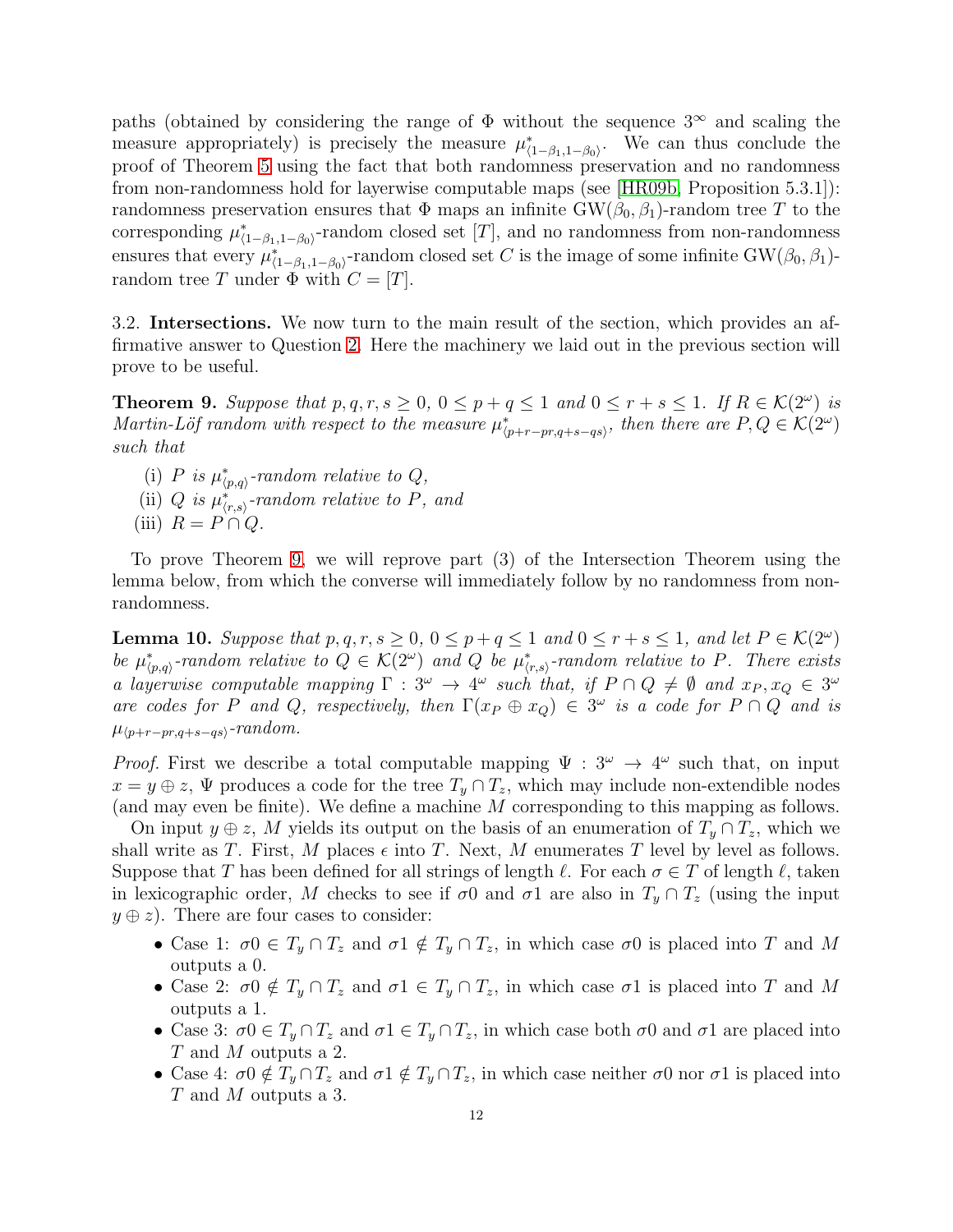paths (obtained by considering the range of  $\Phi$  without the sequence  $3^{\infty}$  and scaling the measure appropriately) is precisely the measure  $\mu_{(1-\beta_1,1-\beta_0)}^*$ . We can thus conclude the proof of Theorem [5](#page-7-0) using the fact that both randomness preservation and no randomness from non-randomness hold for layerwise computable maps (see [\[HR09b,](#page-19-10) Proposition 5.3.1]): randomness preservation ensures that  $\Phi$  maps an infinite  $GW(\beta_0, \beta_1)$ -random tree T to the corresponding  $\mu_{(1-\beta_1,1-\beta_0)}^*$ -random closed set [T], and no randomness from non-randomness ensures that every  $\mu_{(1-\beta_1,1-\beta_0)}^*$ -random closed set C is the image of some infinite GW( $\beta_0$ ,  $\beta_1$ )random tree T under  $\Phi$  with  $C = [T]$ .

3.2. Intersections. We now turn to the main result of the section, which provides an affirmative answer to Question [2.](#page-1-1) Here the machinery we laid out in the previous section will prove to be useful.

<span id="page-11-0"></span>**Theorem 9.** Suppose that  $p, q, r, s \geq 0, 0 \leq p + q \leq 1$  and  $0 \leq r + s \leq 1$ . If  $R \in \mathcal{K}(2^{\omega})$  is *Martin-Löf random with respect to the measure*  $\mu^*_{\langle p+r-pr,q+s-qs\rangle}$ , then there are  $P, Q \in \mathcal{K}(2^{\omega})$ *such that*

- (i)  $P$  *is*  $\mu^*_{\langle p,q \rangle}$ -random relative to  $Q$ ,
- (ii)  $Q$  *is*  $\mu^*_{(r,s)}$ -random relative to P, and
- (iii)  $R = P \cap Q$ .

To prove Theorem [9,](#page-11-0) we will reprove part (3) of the Intersection Theorem using the lemma below, from which the converse will immediately follow by no randomness from nonrandomness.

**Lemma 10.** Suppose that  $p, q, r, s \ge 0, 0 \le p + q \le 1$  and  $0 \le r + s \le 1$ , and let  $P \in \mathcal{K}(2^{\omega})$ *be*  $\mu^*_{\langle p,q\rangle}$ -random relative to  $Q \in \mathcal{K}(2^{\omega})$  and Q *be*  $\mu^*_{\langle r,s\rangle}$ -random relative to P. There exists *a layerwise computable mapping*  $\Gamma : 3^{\omega} \to 4^{\omega}$  such that, if  $P \cap Q \neq \emptyset$  and  $x_P, x_Q \in 3^{\omega}$ *are codes for* P *and* Q, respectively, then  $\Gamma(x_P \oplus x_Q) \in 3^\omega$  *is a code for*  $P \cap Q$  *and is*  $\mu_{\langle p+r-pr,q+s-qs\rangle}$ -random.

*Proof.* First we describe a total computable mapping  $\Psi : 3^{\omega} \to 4^{\omega}$  such that, on input  $x = y \oplus z$ ,  $\Psi$  produces a code for the tree  $T_y \cap T_z$ , which may include non-extendible nodes (and may even be finite). We define a machine M corresponding to this mapping as follows.

On input  $y \oplus z$ , M yields its output on the basis of an enumeration of  $T_y \cap T_z$ , which we shall write as T. First, M places  $\epsilon$  into T. Next, M enumerates T level by level as follows. Suppose that T has been defined for all strings of length  $\ell$ . For each  $\sigma \in T$  of length  $\ell$ , taken in lexicographic order, M checks to see if  $\sigma$ 0 and  $\sigma$ 1 are also in  $T_y \cap T_z$  (using the input  $y \oplus z$ ). There are four cases to consider:

- Case 1:  $\sigma 0 \in T_y \cap T_z$  and  $\sigma 1 \notin T_y \cap T_z$ , in which case  $\sigma 0$  is placed into T and M outputs a 0.
- Case 2:  $\sigma$ 0  $\notin T_y \cap T_z$  and  $\sigma$ 1  $\in T_y \cap T_z$ , in which case  $\sigma$ 1 is placed into T and M outputs a 1.
- Case 3:  $\sigma 0 \in T_y \cap T_z$  and  $\sigma 1 \in T_y \cap T_z$ , in which case both  $\sigma 0$  and  $\sigma 1$  are placed into T and M outputs a 2.
- Case 4:  $\sigma$ 0  $\notin T_y \cap T_z$  and  $\sigma$ 1  $\notin T_y \cap T_z$ , in which case neither  $\sigma$ 0 nor  $\sigma$ 1 is placed into T and M outputs a 3.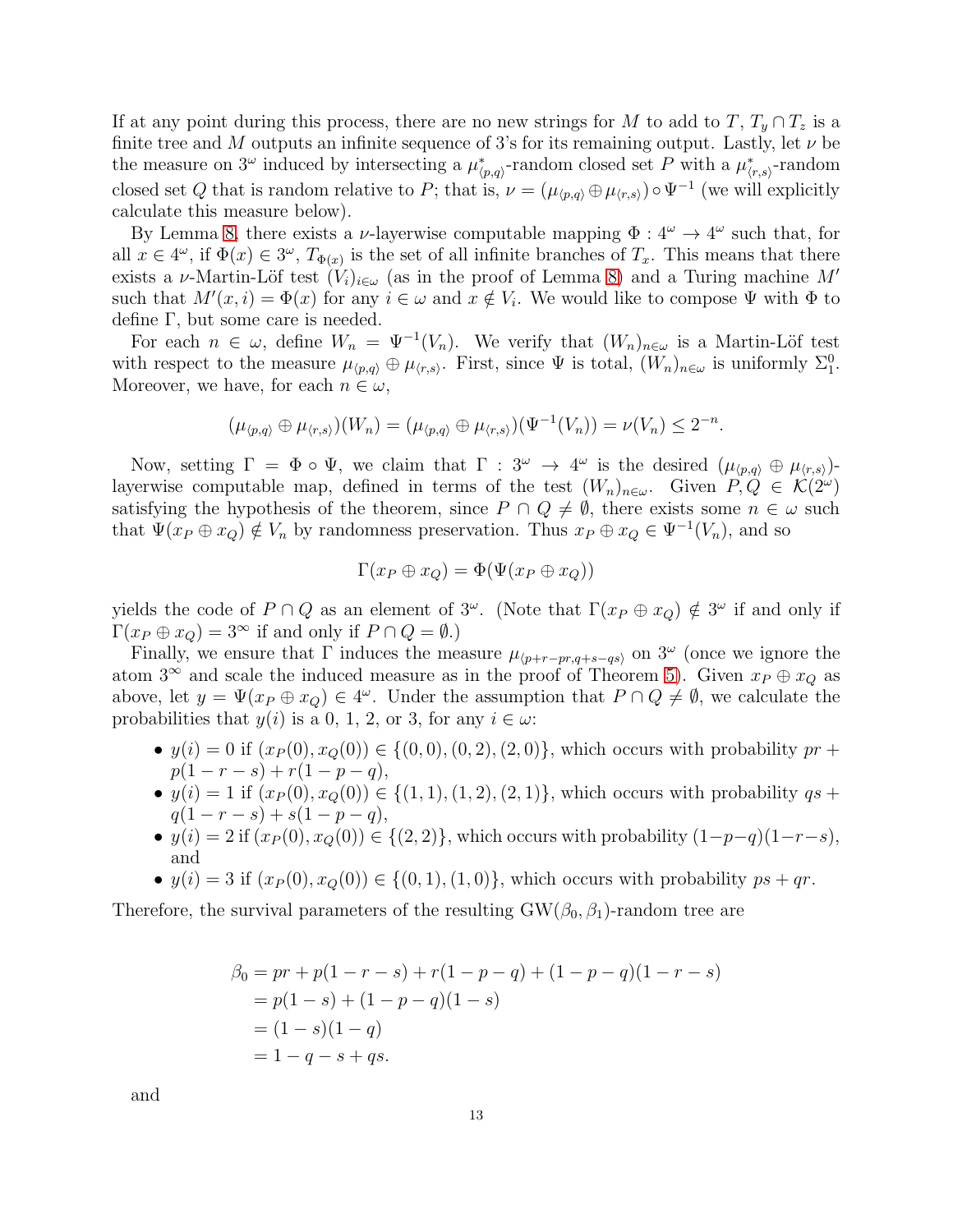If at any point during this process, there are no new strings for M to add to T,  $T_y \cap T_z$  is a finite tree and M outputs an infinite sequence of 3's for its remaining output. Lastly, let  $\nu$  be the measure on 3<sup>ω</sup> induced by intersecting a  $\mu^*_{\langle p,q\rangle}$ -random closed set P with a  $\mu^*_{\langle r,s\rangle}$ -random closed set Q that is random relative to P; that is,  $\nu = (\mu_{\langle p,q \rangle} \oplus \mu_{\langle r,s \rangle}) \circ \Psi^{-1}$  (we will explicitly calculate this measure below).

By Lemma [8,](#page-9-0) there exists a *v*-layerwise computable mapping  $\Phi: 4^{\omega} \to 4^{\omega}$  such that, for all  $x \in 4^{\omega}$ , if  $\Phi(x) \in 3^{\omega}$ ,  $T_{\Phi(x)}$  is the set of all infinite branches of  $T_x$ . This means that there exists a v-Martin-Löf test  $(V_i)_{i\in\omega}$  (as in the proof of Lemma [8\)](#page-9-0) and a Turing machine M' such that  $M'(x, i) = \Phi(x)$  for any  $i \in \omega$  and  $x \notin V_i$ . We would like to compose  $\Psi$  with  $\Phi$  to define Γ, but some care is needed.

For each  $n \in \omega$ , define  $W_n = \Psi^{-1}(V_n)$ . We verify that  $(W_n)_{n \in \omega}$  is a Martin-Löf test with respect to the measure  $\mu_{\langle p,q \rangle} \oplus \mu_{\langle r,s \rangle}$ . First, since  $\Psi$  is total,  $(W_n)_{n \in \omega}$  is uniformly  $\Sigma_1^0$ . Moreover, we have, for each  $n \in \omega$ ,

$$
(\mu_{\langle p,q\rangle} \oplus \mu_{\langle r,s\rangle})(W_n) = (\mu_{\langle p,q\rangle} \oplus \mu_{\langle r,s\rangle})(\Psi^{-1}(V_n)) = \nu(V_n) \leq 2^{-n}.
$$

Now, setting  $\Gamma = \Phi \circ \Psi$ , we claim that  $\Gamma : 3^{\omega} \to 4^{\omega}$  is the desired  $(\mu_{\langle p,q \rangle} \oplus \mu_{\langle r,s \rangle})$ layerwise computable map, defined in terms of the test  $(W_n)_{n\in\omega}$ . Given  $P, Q \in \mathcal{K}(2^{\omega})$ satisfying the hypothesis of the theorem, since  $P \cap Q \neq \emptyset$ , there exists some  $n \in \omega$  such that  $\Psi(x_P \oplus x_Q) \notin V_n$  by randomness preservation. Thus  $x_P \oplus x_Q \in \Psi^{-1}(V_n)$ , and so

$$
\Gamma(x_P \oplus x_Q) = \Phi(\Psi(x_P \oplus x_Q))
$$

yields the code of  $P \cap Q$  as an element of  $3^{\omega}$ . (Note that  $\Gamma(x_P \oplus x_Q) \notin 3^{\omega}$  if and only if  $\Gamma(x_P \oplus x_Q) = 3^{\infty}$  if and only if  $P \cap Q = \emptyset$ .)

Finally, we ensure that  $\Gamma$  induces the measure  $\mu_{\langle p+r-pr,q+s-qs\rangle}$  on  $3^{\omega}$  (once we ignore the atom 3<sup>∞</sup> and scale the induced measure as in the proof of Theorem [5\)](#page-7-0). Given  $x_P \oplus x_Q$  as above, let  $y = \Psi(x_P \oplus x_Q) \in 4^\omega$ . Under the assumption that  $P \cap Q \neq \emptyset$ , we calculate the probabilities that  $y(i)$  is a 0, 1, 2, or 3, for any  $i \in \omega$ :

- $y(i) = 0$  if  $(x_P(0), x_Q(0)) \in \{(0, 0), (0, 2), (2, 0)\}$ , which occurs with probability  $pr +$  $p(1 - r - s) + r(1 - p - q),$
- $y(i) = 1$  if  $(x_P(0), x_Q(0)) \in \{(1, 1), (1, 2), (2, 1)\}$ , which occurs with probability  $qs +$  $q(1 - r - s) + s(1 - p - q),$
- $y(i) = 2$  if  $(x_P(0), x_Q(0)) \in \{(2, 2)\}\$ , which occurs with probability  $(1-p-q)(1-r-s)$ , and
- $y(i) = 3$  if  $(x_P(0), x_Q(0)) \in \{(0, 1), (1, 0)\}$ , which occurs with probability  $ps + qr$ .

Therefore, the survival parameters of the resulting  $GW(\beta_0, \beta_1)$ -random tree are

$$
\beta_0 = pr + p(1 - r - s) + r(1 - p - q) + (1 - p - q)(1 - r - s)
$$
  
=  $p(1 - s) + (1 - p - q)(1 - s)$   
=  $(1 - s)(1 - q)$   
=  $1 - q - s + qs$ .

and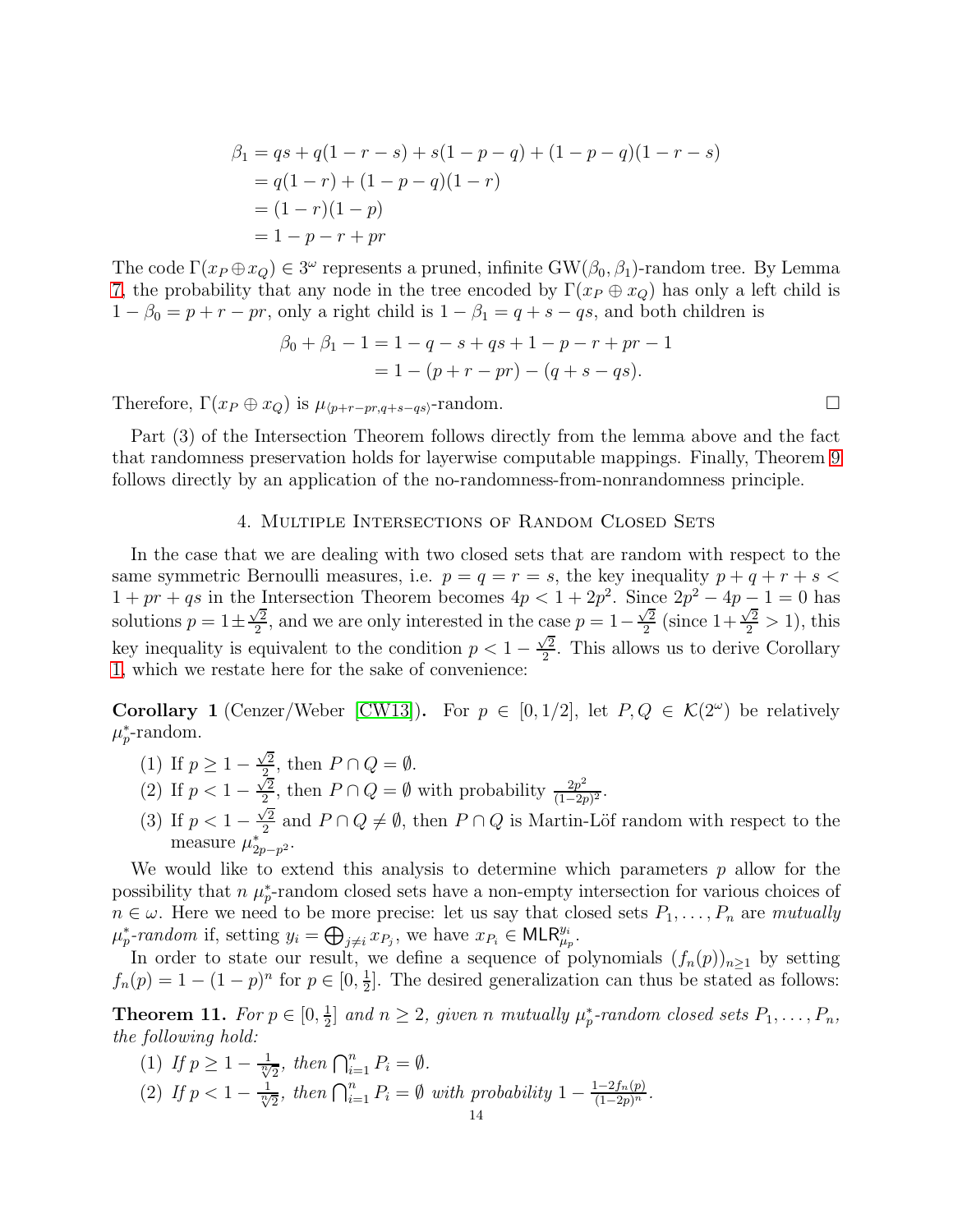$$
\beta_1 = qs + q(1 - r - s) + s(1 - p - q) + (1 - p - q)(1 - r - s)
$$
  
= q(1 - r) + (1 - p - q)(1 - r)  
= (1 - r)(1 - p)  
= 1 - p - r + pr

The code  $\Gamma(x_P \oplus x_Q) \in 3^\omega$  represents a pruned, infinite  $GW(\beta_0, \beta_1)$ -random tree. By Lemma [7,](#page-8-0) the probability that any node in the tree encoded by  $\Gamma(x_P \oplus x_Q)$  has only a left child is  $1 - \beta_0 = p + r - pr$ , only a right child is  $1 - \beta_1 = q + s - qs$ , and both children is

$$
\beta_0 + \beta_1 - 1 = 1 - q - s + qs + 1 - p - r + pr - 1
$$
  
= 1 - (p + r - pr) - (q + s - qs).

Therefore,  $\Gamma(x_P \oplus x_Q)$  is  $\mu_{\langle p+r-pr,q+s-qs \rangle}$ -random.

Part (3) of the Intersection Theorem follows directly from the lemma above and the fact that randomness preservation holds for layerwise computable mappings. Finally, Theorem [9](#page-11-0) follows directly by an application of the no-randomness-from-nonrandomness principle.

### 4. Multiple Intersections of Random Closed Sets

<span id="page-13-0"></span>In the case that we are dealing with two closed sets that are random with respect to the same symmetric Bernoulli measures, i.e.  $p = q = r = s$ , the key inequality  $p + q + r + s$  $1+pr+qs$  in the Intersection Theorem becomes  $4p < 1+2p^2$ . Since  $2p^2-4p-1=0$  has solutions  $p = 1 \pm \frac{\sqrt{2}}{2}$  $\frac{\sqrt{2}}{2}$ , and we are only interested in the case  $p = 1 - \frac{\sqrt{2}}{2}$  $\frac{\sqrt{2}}{2}$  (since  $1 + \frac{\sqrt{2}}{2} > 1$ ), this key inequality is equivalent to the condition  $p < 1 - \frac{\sqrt{2}}{2}$  $\frac{\sqrt{2}}{2}$ . This allows us to derive Corollary [1,](#page-1-0) which we restate here for the sake of convenience:

**Corollary 1** (Cenzer/Weber [\[CW13\]](#page-18-0)). For  $p \in [0, 1/2]$ , let  $P, Q \in \mathcal{K}(2^{\omega})$  be relatively  $\mu_p^*$ -random.

- (1) If  $p \geq 1 \frac{\sqrt{2}}{2}$  $\frac{2}{2}$ , then  $P \cap Q = \emptyset$ .
- (2) If  $p < 1 \frac{\sqrt{2}}{2}$  $\frac{\sqrt{2}}{2}$ , then  $P \cap Q = \emptyset$  with probability  $\frac{2p^2}{(1-2p)}$  $\frac{2p^2}{(1-2p)^2}$ .
- (3) If  $p < 1 \frac{\sqrt{2}}{2}$  $\frac{2}{2}$  and  $P \cap Q \neq \emptyset$ , then  $P \cap Q$  is Martin-Löf random with respect to the measure  $\mu_{2p-p^2}^*$ .

We would like to extend this analysis to determine which parameters  $p$  allow for the possibility that  $n \mu_p^*$ -random closed sets have a non-empty intersection for various choices of  $n \in \omega$ . Here we need to be more precise: let us say that closed sets  $P_1, \ldots, P_n$  are *mutually*  $\mu_p^*$ -random if, setting  $y_i = \bigoplus_{j \neq i} x_{P_j}$ , we have  $x_{P_i} \in \mathsf{MLR}_{\mu_p}^{y_i}$ .

In order to state our result, we define a sequence of polynomials  $(f_n(p))_{n\geq 1}$  by setting  $f_n(p) = 1 - (1 - p)^n$  for  $p \in [0, \frac{1}{2}]$  $\frac{1}{2}$ . The desired generalization can thus be stated as follows:

<span id="page-13-1"></span>**Theorem 11.** *For*  $p \in [0, \frac{1}{2}]$  $\frac{1}{2}$  and  $n \geq 2$ , given n mutually  $\mu_p^*$ -random closed sets  $P_1, \ldots, P_n$ , *the following hold:*

(1) If  $p \ge 1 - \frac{1}{\sqrt[n]{2}}$ , then  $\bigcap_{i=1}^{n} P_i = \emptyset$ . (2) If  $p < 1 - \frac{1}{\sqrt[n]{2}}$ , then  $\bigcap_{i=1}^{n} P_i = \emptyset$  with probability  $1 - \frac{1-2f_n(p)}{(1-2p)^n}$ .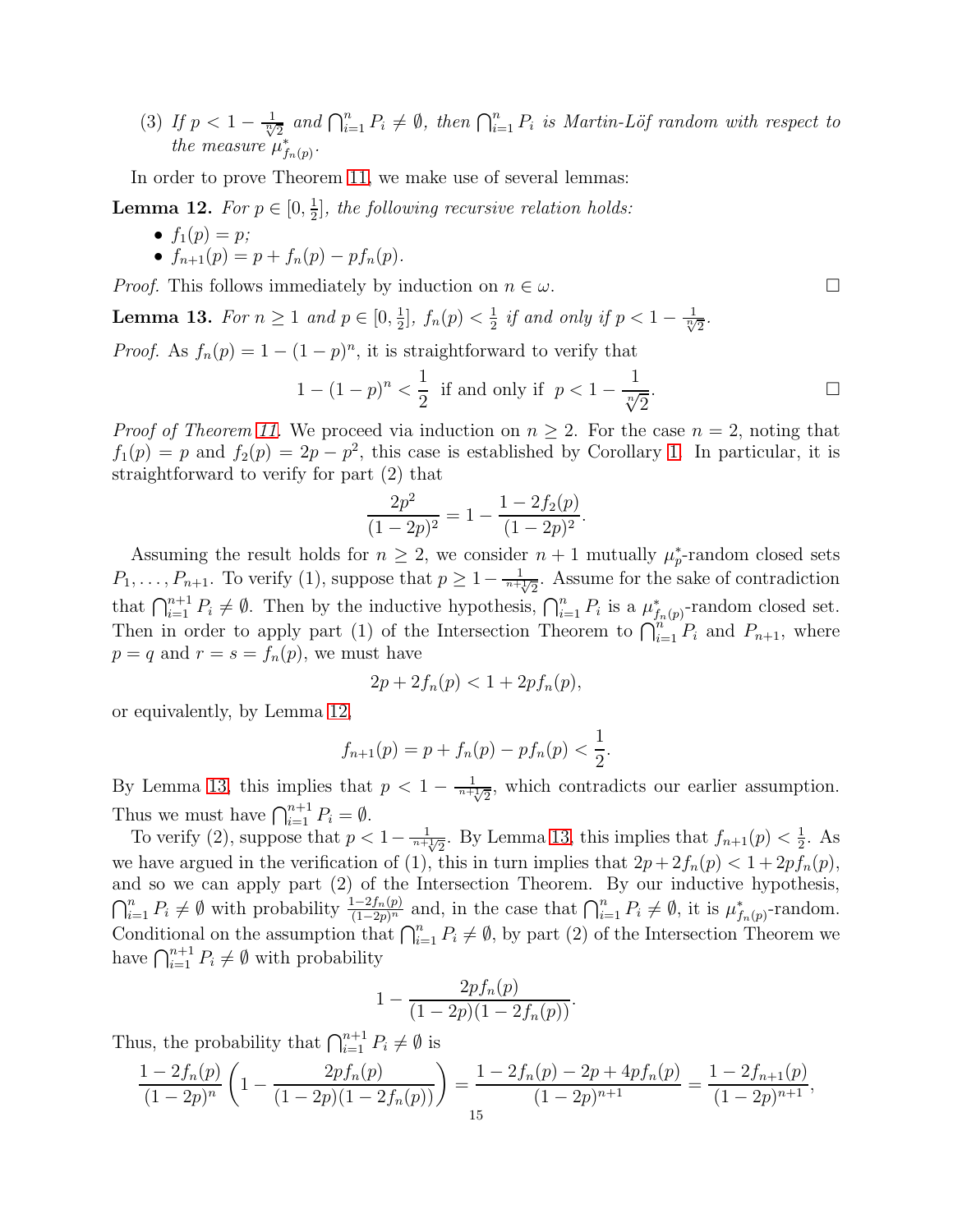(3) If  $p < 1 - \frac{1}{\sqrt[n]{2}}$  and  $\bigcap_{i=1}^n P_i \neq \emptyset$ , then  $\bigcap_{i=1}^n P_i$  is Martin-Löf random with respect to *the measure*  $\mu_{f_n(p)}^*$ .

In order to prove Theorem [11,](#page-13-1) we make use of several lemmas:

<span id="page-14-0"></span>**Lemma 12.** *For*  $p \in [0, \frac{1}{2}]$ 2 ]*, the following recursive relation holds:*

- $f_1(p) = p$ ;
- $f_{n+1}(p) = p + f_n(p) pf_n(p)$ .

*Proof.* This follows immediately by induction on  $n \in \omega$ .

<span id="page-14-1"></span>**Lemma 13.** *For*  $n \geq 1$  *and*  $p \in [0, \frac{1}{2}]$  $\frac{1}{2}$ ,  $f_n(p) < \frac{1}{2}$  $\frac{1}{2}$  *if and only if*  $p < 1 - \frac{1}{\sqrt[n]{2}}$ .

*Proof.* As  $f_n(p) = 1 - (1 - p)^n$ , it is straightforward to verify that

$$
1 - (1 - p)^n < \frac{1}{2} \text{ if and only if } p < 1 - \frac{1}{\sqrt[n]{2}}. \Box
$$

*Proof of Theorem [11.](#page-13-1)* We proceed via induction on  $n \geq 2$ . For the case  $n = 2$ , noting that  $f_1(p) = p$  and  $f_2(p) = 2p - p^2$ , this case is established by Corollary [1.](#page-1-0) In particular, it is straightforward to verify for part (2) that

$$
\frac{2p^2}{(1-2p)^2} = 1 - \frac{1 - 2f_2(p)}{(1-2p)^2}.
$$

Assuming the result holds for  $n \geq 2$ , we consider  $n+1$  mutually  $\mu_p^*$ -random closed sets  $P_1, \ldots, P_{n+1}$ . To verify (1), suppose that  $p \geq 1 - \frac{1}{n + \sqrt{2}}$ . Assume for the sake of contradiction that  $\bigcap_{i=1}^{n+1} P_i \neq \emptyset$ . Then by the inductive hypothesis,  $\bigcap_{i=1}^{n} P_i$  is a  $\mu_{f_n(p)}^*$ -random closed set. Then in order to apply part (1) of the Intersection Theorem to  $\bigcap_{i=1}^{n} P_i$  and  $P_{n+1}$ , where  $p = q$  and  $r = s = f_n(p)$ , we must have

$$
2p + 2f_n(p) < 1 + 2pf_n(p),
$$

or equivalently, by Lemma [12,](#page-14-0)

$$
f_{n+1}(p) = p + f_n(p) - pf_n(p) < \frac{1}{2}.
$$

By Lemma [13,](#page-14-1) this implies that  $p < 1 - \frac{1}{n + \sqrt{2}}$ , which contradicts our earlier assumption. Thus we must have  $\bigcap_{i=1}^{n+1} P_i = \emptyset$ .

To verify (2), suppose that  $p < 1 - \frac{1}{n + \sqrt{2}}$ . By Lemma [13,](#page-14-1) this implies that  $f_{n+1}(p) < \frac{1}{2}$  $\frac{1}{2}$ . As we have argued in the verification of (1), this in turn implies that  $2p + 2f_n(p) < 1 + 2pf_n(p)$ , and so we can apply part (2) of the Intersection Theorem. By our inductive hypothesis,  $\bigcap_{i=1}^n P_i \neq \emptyset$  with probability  $\frac{1-2f_n(p)}{(1-2p)^n}$  and, in the case that  $\bigcap_{i=1}^n P_i \neq \emptyset$ , it is  $\mu_{f_n(p)}^*$ -random. Conditional on the assumption that  $\bigcap_{i=1}^n P_i \neq \emptyset$ , by part (2) of the Intersection Theorem we have  $\bigcap_{i=1}^{n+1} P_i \neq \emptyset$  with probability

$$
1 - \frac{2pf_n(p)}{(1-2p)(1-2f_n(p))}.
$$

Thus, the probability that  $\bigcap_{i=1}^{n+1} P_i \neq \emptyset$  is

$$
\frac{1 - 2f_n(p)}{(1 - 2p)^n} \left( 1 - \frac{2pf_n(p)}{(1 - 2p)(1 - 2f_n(p))} \right) = \frac{1 - 2f_n(p) - 2p + 4pf_n(p)}{(1 - 2p)^{n+1}} = \frac{1 - 2f_{n+1}(p)}{(1 - 2p)^{n+1}},
$$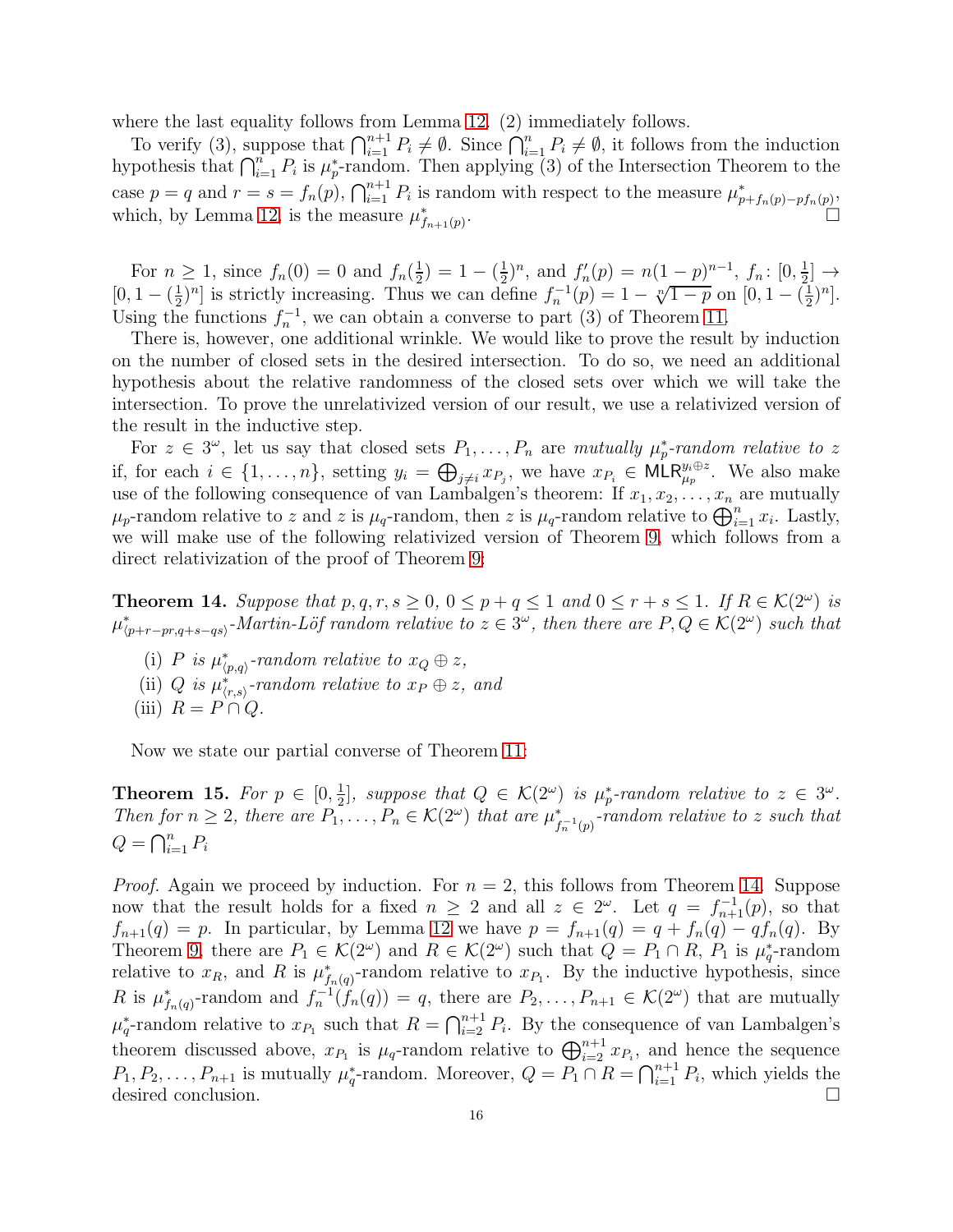where the last equality follows from Lemma [12.](#page-14-0) (2) immediately follows.

To verify (3), suppose that  $\bigcap_{i=1}^{n+1} P_i \neq \emptyset$ . Since  $\bigcap_{i=1}^{n} P_i \neq \emptyset$ , it follows from the induction hypothesis that  $\bigcap_{i=1}^n P_i$  is  $\mu_p^*$ -random. Then applying (3) of the Intersection Theorem to the case  $p = q$  and  $r = s = f_n(p)$ ,  $\bigcap_{i=1}^{n+1} P_i$  is random with respect to the measure  $\mu^*_{p+f_n(p)-pf_n(p)}$ . which, by Lemma [12,](#page-14-0) is the measure  $\mu_{f_{n+1}(p)}^*$ .

For  $n \geq 1$ , since  $f_n(0) = 0$  and  $f_n(\frac{1}{2})$  $(\frac{1}{2}) = 1 - (\frac{1}{2})$  $(\frac{1}{2})^n$ , and  $f'_n(p) = n(1-p)^{n-1}$ ,  $f_n: [0, \frac{1}{2}]$  $\frac{1}{2}] \rightarrow$  $[0, 1 - (\frac{1}{2})]$  $\frac{1}{2}$ <sup>n</sup>] is strictly increasing. Thus we can define  $f_n^{-1}(p) = 1 - \sqrt[n]{1-p}$  on  $[0, 1 - (\frac{1}{2})]$  $\frac{1}{2})^n$ . Using the functions  $f_n^{-1}$ , we can obtain a converse to part (3) of Theorem [11.](#page-13-1)

There is, however, one additional wrinkle. We would like to prove the result by induction on the number of closed sets in the desired intersection. To do so, we need an additional hypothesis about the relative randomness of the closed sets over which we will take the intersection. To prove the unrelativized version of our result, we use a relativized version of the result in the inductive step.

For  $z \in 3^{\omega}$ , let us say that closed sets  $P_1, \ldots, P_n$  are *mutually*  $\mu_p^*$ -random relative to z if, for each  $i \in \{1, \ldots, n\}$ , setting  $y_i = \bigoplus_{j \neq i} x_{P_j}$ , we have  $x_{P_i} \in \mathsf{MLR}_{\mu_p}^{y_i \oplus z}$ . We also make use of the following consequence of van Lambalgen's theorem: If  $x_1, x_2, \ldots, x_n$  are mutually  $\mu_p$ -random relative to z and z is  $\mu_q$ -random, then z is  $\mu_q$ -random relative to  $\bigoplus_{i=1}^n x_i$ . Lastly, we will make use of the following relativized version of Theorem [9,](#page-11-0) which follows from a direct relativization of the proof of Theorem [9:](#page-11-0)

<span id="page-15-0"></span>**Theorem 14.** Suppose that  $p, q, r, s \ge 0, 0 \le p + q \le 1$  and  $0 \le r + s \le 1$ . If  $R \in \mathcal{K}(2^{\omega})$  is  $\mu_{\langle p+r-pr,q+s-qs\rangle}^*$ -*Martin-Löf random relative to*  $z \in 3^\omega$ , then there are  $P, Q \in \mathcal{K}(2^\omega)$  such that

- (i) P is  $\mu^*_{\langle p,q\rangle}$ -random relative to  $x_Q \oplus z$ ,
- (ii) Q *is*  $\mu^*_{(r,s)}$ -random relative to  $x_P \oplus z$ , and
- (iii)  $R = P \cap Q$ .

Now we state our partial converse of Theorem [11:](#page-13-1)

**Theorem 15.** For  $p \in [0, \frac{1}{2}]$  $\frac{1}{2}$ , suppose that  $Q \in \mathcal{K}(2^{\omega})$  is  $\mu_p^*$ -random relative to  $z \in 3^{\omega}$ . *Then for*  $n \geq 2$ , there are  $P_1, \ldots, P_n \in \mathcal{K}(2^{\omega})$  that are  $\mu_{f_n^{-1}(p)}^*$ -random relative to z such that  $Q = \bigcap_{i=1}^n P_i$ 

*Proof.* Again we proceed by induction. For  $n = 2$ , this follows from Theorem [14.](#page-15-0) Suppose now that the result holds for a fixed  $n \geq 2$  and all  $z \in 2^{\omega}$ . Let  $q = f_{n+1}^{-1}(p)$ , so that  $f_{n+1}(q) = p$ . In particular, by Lemma [12](#page-14-0) we have  $p = f_{n+1}(q) = q + f_n(q) - qf_n(q)$ . By Theorem [9,](#page-11-0) there are  $P_1 \in \mathcal{K}(2^{\omega})$  and  $R \in \mathcal{K}(2^{\omega})$  such that  $Q = P_1 \cap R$ ,  $P_1$  is  $\mu_q^*$ -random relative to  $x_R$ , and R is  $\mu^*_{f_n(q)}$ -random relative to  $x_{P_1}$ . By the inductive hypothesis, since R is  $\mu^*_{f_n(q)}$ -random and  $f_n^{-1}(f_n(q)) = q$ , there are  $P_2, \ldots, P_{n+1} \in \mathcal{K}(2^{\omega})$  that are mutually  $\mu_q^*$ -random relative to  $x_{P_1}$  such that  $R = \bigcap_{i=2}^{n+1} P_i$ . By the consequence of van Lambalgen's theorem discussed above,  $x_{P_1}$  is  $\mu_q$ -random relative to  $\bigoplus_{i=2}^{n+1} x_{P_i}$ , and hence the sequence  $P_1, P_2, \ldots, P_{n+1}$  is mutually  $\mu_q^*$ -random. Moreover,  $Q = P_1 \cap R = \bigcap_{i=1}^{n+1} P_i$ , which yields the desired conclusion.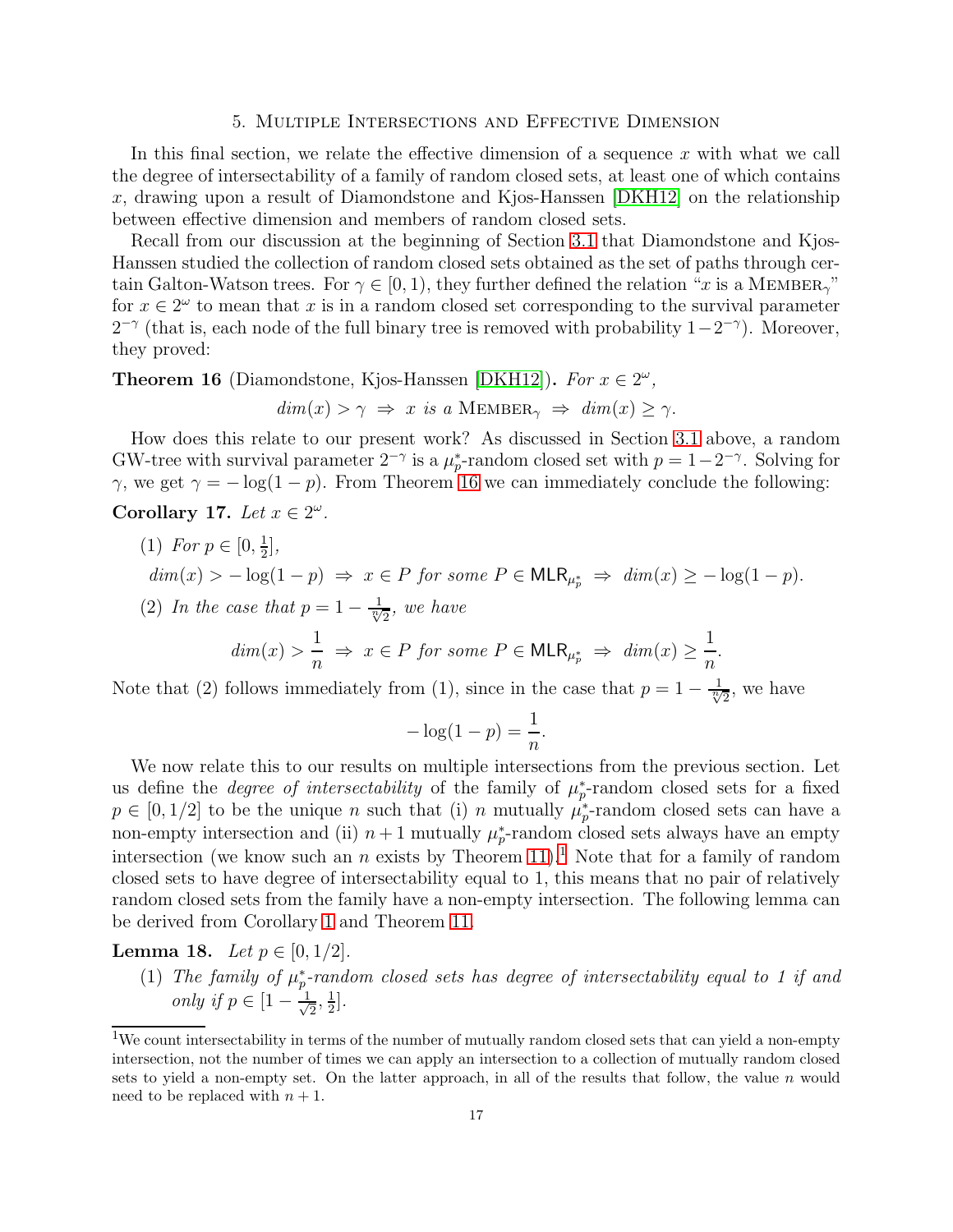# 5. Multiple Intersections and Effective Dimension

<span id="page-16-0"></span>In this final section, we relate the effective dimension of a sequence  $x$  with what we call the degree of intersectability of a family of random closed sets, at least one of which contains x, drawing upon a result of Diamondstone and Kjos-Hanssen  $[DKH12]$  on the relationship between effective dimension and members of random closed sets.

Recall from our discussion at the beginning of Section [3.1](#page-6-1) that Diamondstone and Kjos-Hanssen studied the collection of random closed sets obtained as the set of paths through certain Galton-Watson trees. For  $\gamma \in [0, 1)$ , they further defined the relation "x is a MEMBER<sub>"</sub>" for  $x \in 2^{\omega}$  to mean that x is in a random closed set corresponding to the survival parameter  $2^{-\gamma}$  (that is, each node of the full binary tree is removed with probability  $1-2^{-\gamma}$ ). Moreover, they proved:

<span id="page-16-1"></span>**Theorem 16** (Diamondstone, Kjos-Hanssen [\[DKH12\]](#page-18-3)). *For*  $x \in 2^{\omega}$ ,

$$
dim(x) > \gamma \implies x \text{ is a MEMBER}_{\gamma} \implies dim(x) \ge \gamma.
$$

How does this relate to our present work? As discussed in Section [3.1](#page-6-1) above, a random GW-tree with survival parameter  $2^{-\gamma}$  is a  $\mu_p^*$ -random closed set with  $p = 1 - 2^{-\gamma}$ . Solving for γ, we get  $\gamma = -\log(1-p)$ . From Theorem [16](#page-16-1) we can immediately conclude the following: Corollary 17. Let  $x \in 2^{\omega}$ .

<span id="page-16-4"></span>(1) *For*  $p \in [0, \frac{1}{2}]$  $\frac{1}{2}$ ,  $dim(x) > -log(1-p) \Rightarrow x \in P$  *for some*  $P \in MLR_{\mu_p^*} \Rightarrow dim(x) \geq -log(1-p)$ . (2) In the case that  $p = 1 - \frac{1}{\sqrt[n]{2}}$ , we have

$$
dim(x) > \frac{1}{n} \implies x \in P \text{ for some } P \in \mathsf{MLR}_{\mu_p^*} \implies dim(x) \ge \frac{1}{n}.
$$

Note that (2) follows immediately from (1), since in the case that  $p = 1 - \frac{1}{\sqrt[n]{2}}$ , we have

$$
-\log(1-p) = \frac{1}{n}.
$$

We now relate this to our results on multiple intersections from the previous section. Let us define the *degree of intersectability* of the family of  $\mu_p^*$ -random closed sets for a fixed  $p \in [0, 1/2]$  to be the unique *n* such that (i) *n* mutually  $\mu_p^*$ -random closed sets can have a non-empty intersection and (ii)  $n+1$  mutually  $\mu_p^*$ -random closed sets always have an empty intersection (we know such an n exists by Theorem [11\)](#page-13-1).<sup>[1](#page-16-2)</sup> Note that for a family of random closed sets to have degree of intersectability equal to 1, this means that no pair of relatively random closed sets from the family have a non-empty intersection. The following lemma can be derived from Corollary [1](#page-1-0) and Theorem [11.](#page-13-1)

<span id="page-16-3"></span>**Lemma 18.** *Let*  $p \in [0, 1/2]$ *.* 

 $(1)$  *The family of*  $\mu_p^*$ -random closed sets has degree of intersectability equal to 1 if and *only if*  $p \in \left[1 - \frac{1}{\sqrt{2}}\right]$  $\frac{1}{2}$ ,  $\frac{1}{2}$  $\frac{1}{2}$ .

<span id="page-16-2"></span><sup>&</sup>lt;sup>1</sup>We count intersectability in terms of the number of mutually random closed sets that can yield a non-empty intersection, not the number of times we can apply an intersection to a collection of mutually random closed sets to yield a non-empty set. On the latter approach, in all of the results that follow, the value n would need to be replaced with  $n + 1$ .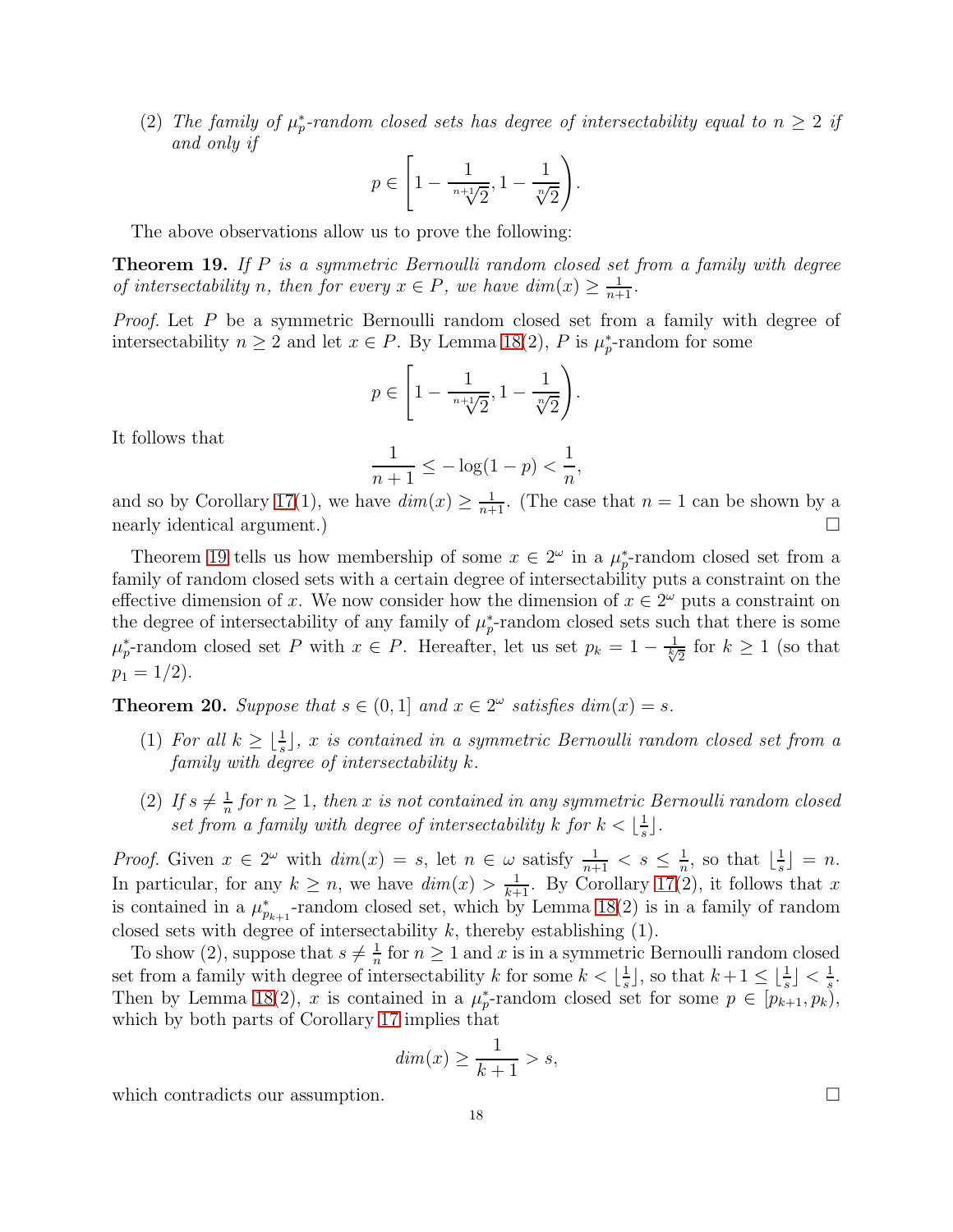(2) The family of  $\mu_p^*$ -random closed sets has degree of intersectability equal to  $n \geq 2$  if *and only if*

$$
p \in \left[1 - \frac{1}{\sqrt[n+1]{2}}, 1 - \frac{1}{\sqrt[n]{2}}\right).
$$

The above observations allow us to prove the following:

<span id="page-17-0"></span>Theorem 19. *If* P *is a symmetric Bernoulli random closed set from a family with degree of intersectability n, then for every*  $x \in P$ *, we have dim* $(x) \ge \frac{1}{n+1}$ *.* 

*Proof.* Let P be a symmetric Bernoulli random closed set from a family with degree of intersectability  $n \geq 2$  and let  $x \in P$ . By Lemma [18\(](#page-16-3)2), P is  $\mu_p^*$ -random for some

$$
p \in \left[1 - \frac{1}{\sqrt[n+1]{2}}, 1 - \frac{1}{\sqrt[n]{2}}\right).
$$

It follows that

$$
\frac{1}{n+1} \le -\log(1-p) < \frac{1}{n},
$$

and so by Corollary [17\(](#page-16-4)1), we have  $\dim(x) \geq \frac{1}{n+1}$ . (The case that  $n = 1$  can be shown by a nearly identical argument.)

Theorem [19](#page-17-0) tells us how membership of some  $x \in 2^{\omega}$  in a  $\mu_p^*$ -random closed set from a family of random closed sets with a certain degree of intersectability puts a constraint on the effective dimension of x. We now consider how the dimension of  $x \in 2^{\omega}$  puts a constraint on the degree of intersectability of any family of  $\mu_p^*$ -random closed sets such that there is some  $\mu_p^*$ -random closed set P with  $x \in P$ . Hereafter, let us set  $p_k = 1 - \frac{1}{\sqrt[k]{2}}$  for  $k \ge 1$  (so that  $p_1 = 1/2$ .

<span id="page-17-1"></span>**Theorem 20.** Suppose that  $s \in (0,1]$  and  $x \in 2^{\omega}$  satisfies dim $(x) = s$ .

- (1) For all  $k \geq \lfloor \frac{1}{s} \rfloor$ , x is contained in a symmetric Bernoulli random closed set from a *family with degree of intersectability* k*.*
- $(2)$  *If*  $s \neq \frac{1}{n}$  $\frac{1}{n}$  for  $n \geq 1$ , then x is not contained in any symmetric Bernoulli random closed *set from a family with degree of intersectability* k for  $k < \lfloor \frac{1}{s} \rfloor$  $\frac{1}{s}$ .

*Proof.* Given  $x \in 2^{\omega}$  with  $dim(x) = s$ , let  $n \in \omega$  satisfy  $\frac{1}{n+1} < s \leq \frac{1}{n}$  $\frac{1}{n}$ , so that  $\lfloor \frac{1}{s} \rfloor$  $\frac{1}{s}$  = n. In particular, for any  $k \geq n$ , we have  $dim(x) > \frac{1}{k+1}$ . By Corollary [17\(](#page-16-4)2), it follows that x is contained in a  $\mu^*_{p_{k+1}}$ -random closed set, which by Lemma [18\(](#page-16-3)2) is in a family of random closed sets with degree of intersectability  $k$ , thereby establishing  $(1)$ .

To show (2), suppose that  $s \neq \frac{1}{n}$  $\frac{1}{n}$  for  $n \geq 1$  and x is in a symmetric Bernoulli random closed set from a family with degree of intersectability k for some  $k < \lfloor \frac{1}{s} \rfloor$  $\frac{1}{s}$ , so that  $k+1 \leq \lfloor \frac{1}{s} \rfloor < \frac{1}{s}$  $\frac{1}{s}$ . Then by Lemma [18\(](#page-16-3)2), x is contained in a  $\mu_p^*$ -random closed set for some  $p \in [p_{k+1}, p_k)$ , which by both parts of Corollary [17](#page-16-4) implies that

$$
dim(x) \ge \frac{1}{k+1} > s,
$$

which contradicts our assumption.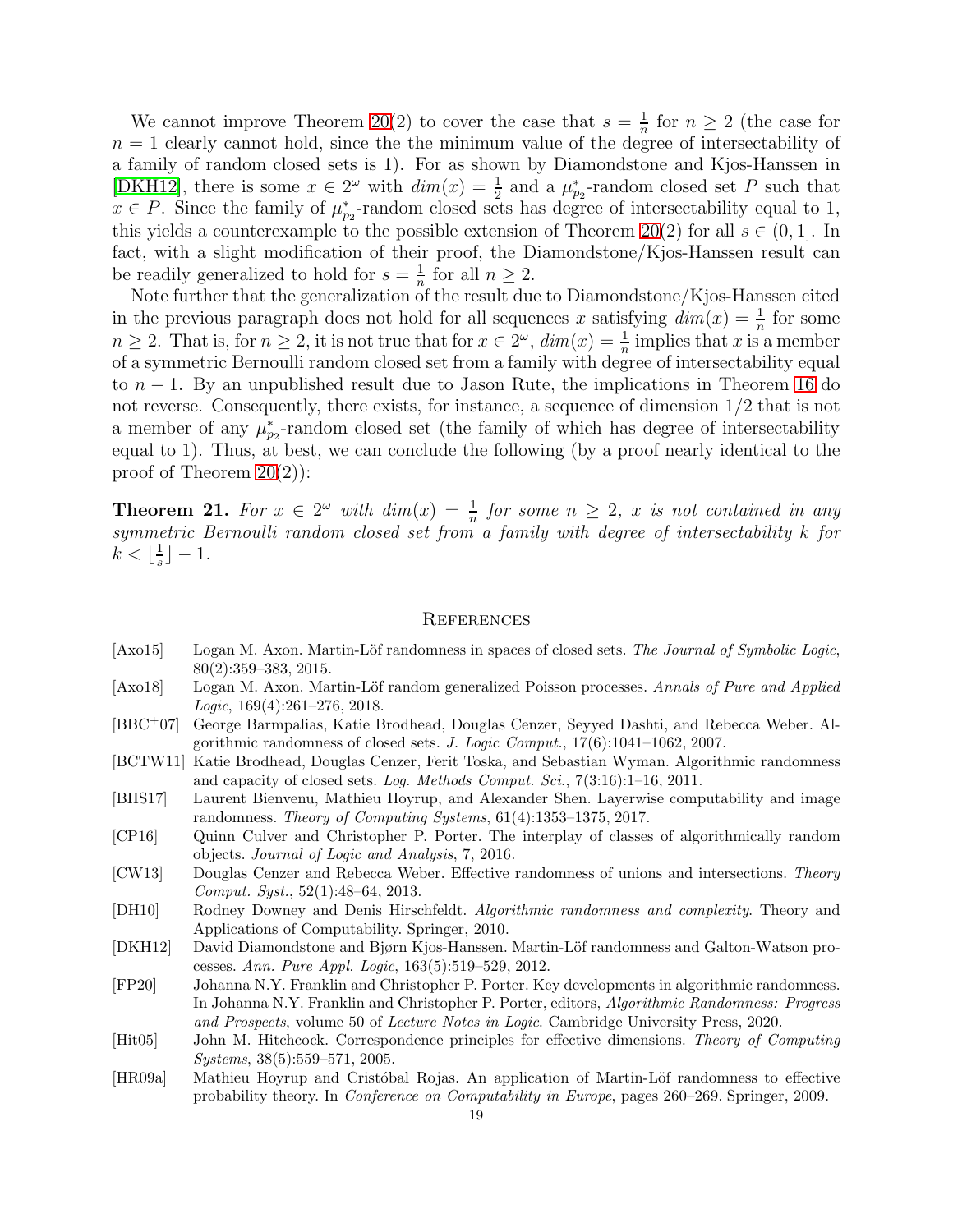We cannot improve Theorem [20\(](#page-17-1)2) to cover the case that  $s = \frac{1}{n}$  $\frac{1}{n}$  for  $n \geq 2$  (the case for  $n = 1$  clearly cannot hold, since the the minimum value of the degree of intersectability of a family of random closed sets is 1). For as shown by Diamondstone and Kjos-Hanssen in [\[DKH12\]](#page-18-3), there is some  $x \in 2^{\omega}$  with  $dim(x) = \frac{1}{2}$  and a  $\mu_{p_2}^*$ -random closed set P such that  $x \in P$ . Since the family of  $\mu_{p_2}^*$ -random closed sets has degree of intersectability equal to 1, this yields a counterexample to the possible extension of Theorem [20\(](#page-17-1)2) for all  $s \in (0,1]$ . In fact, with a slight modification of their proof, the Diamondstone/Kjos-Hanssen result can be readily generalized to hold for  $s=\frac{1}{n}$  $\frac{1}{n}$  for all  $n \geq 2$ .

Note further that the generalization of the result due to Diamondstone/Kjos-Hanssen cited in the previous paragraph does not hold for all sequences x satisfying  $dim(x) = \frac{1}{n}$  for some  $n \geq 2$ . That is, for  $n \geq 2$ , it is not true that for  $x \in 2^{\omega}$ ,  $dim(x) = \frac{1}{n}$  implies that x is a member of a symmetric Bernoulli random closed set from a family with degree of intersectability equal to  $n-1$ . By an unpublished result due to Jason Rute, the implications in Theorem [16](#page-16-1) do not reverse. Consequently, there exists, for instance, a sequence of dimension 1/2 that is not a member of any  $\mu_{p_2}^*$ -random closed set (the family of which has degree of intersectability equal to 1). Thus, at best, we can conclude the following (by a proof nearly identical to the proof of Theorem [20\(](#page-17-1)2)):

**Theorem 21.** For  $x \in 2^{\omega}$  with  $dim(x) = \frac{1}{n}$  for some  $n \geq 2$ , x is not contained in any *symmetric Bernoulli random closed set from a family with degree of intersectability* k *for*  $k < \lfloor \frac{1}{s}$  $\frac{1}{s}$ ] – 1.

#### **REFERENCES**

- <span id="page-18-4"></span>[Axo15] Logan M. Axon. Martin-Löf randomness in spaces of closed sets. *The Journal of Symbolic Logic*, 80(2):359–383, 2015.
- <span id="page-18-6"></span>[Axo18] Logan M. Axon. Martin-Löf random generalized Poisson processes. *Annals of Pure and Applied Logic*, 169(4):261–276, 2018.
- <span id="page-18-1"></span>[BBC<sup>+</sup>07] George Barmpalias, Katie Brodhead, Douglas Cenzer, Seyyed Dashti, and Rebecca Weber. Algorithmic randomness of closed sets. *J. Logic Comput.*, 17(6):1041–1062, 2007.
- <span id="page-18-2"></span>[BCTW11] Katie Brodhead, Douglas Cenzer, Ferit Toska, and Sebastian Wyman. Algorithmic randomness and capacity of closed sets. *Log. Methods Comput. Sci.*, 7(3:16):1–16, 2011.
- <span id="page-18-7"></span>[BHS17] Laurent Bienvenu, Mathieu Hoyrup, and Alexander Shen. Layerwise computability and image randomness. *Theory of Computing Systems*, 61(4):1353–1375, 2017.
- <span id="page-18-5"></span>[CP16] Quinn Culver and Christopher P. Porter. The interplay of classes of algorithmically random objects. *Journal of Logic and Analysis*, 7, 2016.
- <span id="page-18-0"></span>[CW13] Douglas Cenzer and Rebecca Weber. Effective randomness of unions and intersections. *Theory Comput. Syst.*, 52(1):48–64, 2013.
- <span id="page-18-8"></span>[DH10] Rodney Downey and Denis Hirschfeldt. *Algorithmic randomness and complexity*. Theory and Applications of Computability. Springer, 2010.
- <span id="page-18-3"></span>[DKH12] David Diamondstone and Bjørn Kjos-Hanssen. Martin-L¨of randomness and Galton-Watson processes. *Ann. Pure Appl. Logic*, 163(5):519–529, 2012.
- <span id="page-18-9"></span>[FP20] Johanna N.Y. Franklin and Christopher P. Porter. Key developments in algorithmic randomness. In Johanna N.Y. Franklin and Christopher P. Porter, editors, *Algorithmic Randomness: Progress and Prospects*, volume 50 of *Lecture Notes in Logic*. Cambridge University Press, 2020.
- <span id="page-18-10"></span>[Hit05] John M. Hitchcock. Correspondence principles for effective dimensions. *Theory of Computing Systems*, 38(5):559–571, 2005.
- <span id="page-18-11"></span>[HR09a] Mathieu Hoyrup and Cristóbal Rojas. An application of Martin-Löf randomness to effective probability theory. In *Conference on Computability in Europe*, pages 260–269. Springer, 2009.